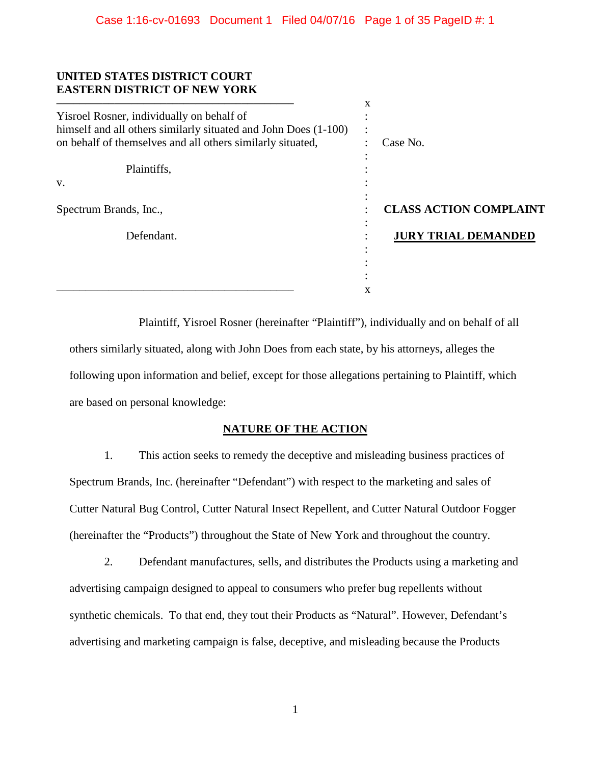## **UNITED STATES DISTRICT COURT EASTERN DISTRICT OF NEW YORK**

|                                                                 | X                    |                               |
|-----------------------------------------------------------------|----------------------|-------------------------------|
| Yisroel Rosner, individually on behalf of                       |                      |                               |
| himself and all others similarly situated and John Does (1-100) | $\bullet$<br>$\cdot$ |                               |
| on behalf of themselves and all others similarly situated,      |                      | Case No.                      |
|                                                                 |                      |                               |
| Plaintiffs,                                                     |                      |                               |
| V.                                                              |                      |                               |
|                                                                 |                      |                               |
| Spectrum Brands, Inc.,                                          |                      | <b>CLASS ACTION COMPLAINT</b> |
| Defendant.                                                      |                      | <b>JURY TRIAL DEMANDED</b>    |
|                                                                 |                      |                               |
|                                                                 |                      |                               |
|                                                                 |                      |                               |
|                                                                 | x                    |                               |

Plaintiff, Yisroel Rosner (hereinafter "Plaintiff"), individually and on behalf of all others similarly situated, along with John Does from each state, by his attorneys, alleges the following upon information and belief, except for those allegations pertaining to Plaintiff, which are based on personal knowledge:

## **NATURE OF THE ACTION**

1. This action seeks to remedy the deceptive and misleading business practices of Spectrum Brands, Inc. (hereinafter "Defendant") with respect to the marketing and sales of Cutter Natural Bug Control, Cutter Natural Insect Repellent, and Cutter Natural Outdoor Fogger (hereinafter the "Products") throughout the State of New York and throughout the country.

2. Defendant manufactures, sells, and distributes the Products using a marketing and advertising campaign designed to appeal to consumers who prefer bug repellents without synthetic chemicals. To that end, they tout their Products as "Natural". However, Defendant's advertising and marketing campaign is false, deceptive, and misleading because the Products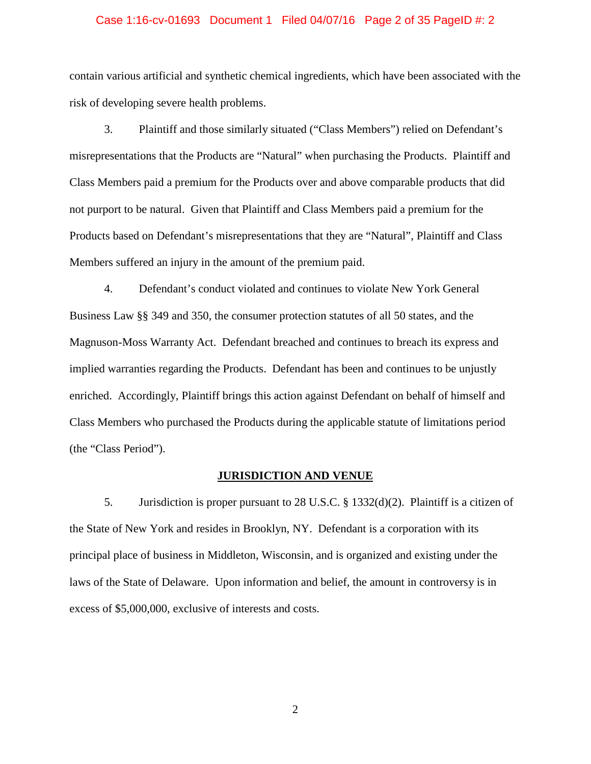### Case 1:16-cv-01693 Document 1 Filed 04/07/16 Page 2 of 35 PageID #: 2

contain various artificial and synthetic chemical ingredients, which have been associated with the risk of developing severe health problems.

3. Plaintiff and those similarly situated ("Class Members") relied on Defendant's misrepresentations that the Products are "Natural" when purchasing the Products. Plaintiff and Class Members paid a premium for the Products over and above comparable products that did not purport to be natural. Given that Plaintiff and Class Members paid a premium for the Products based on Defendant's misrepresentations that they are "Natural", Plaintiff and Class Members suffered an injury in the amount of the premium paid.

4. Defendant's conduct violated and continues to violate New York General Business Law §§ 349 and 350, the consumer protection statutes of all 50 states, and the Magnuson-Moss Warranty Act. Defendant breached and continues to breach its express and implied warranties regarding the Products. Defendant has been and continues to be unjustly enriched. Accordingly, Plaintiff brings this action against Defendant on behalf of himself and Class Members who purchased the Products during the applicable statute of limitations period (the "Class Period").

## **JURISDICTION AND VENUE**

5. Jurisdiction is proper pursuant to 28 U.S.C. § 1332(d)(2). Plaintiff is a citizen of the State of New York and resides in Brooklyn, NY. Defendant is a corporation with its principal place of business in Middleton, Wisconsin, and is organized and existing under the laws of the State of Delaware. Upon information and belief, the amount in controversy is in excess of \$5,000,000, exclusive of interests and costs.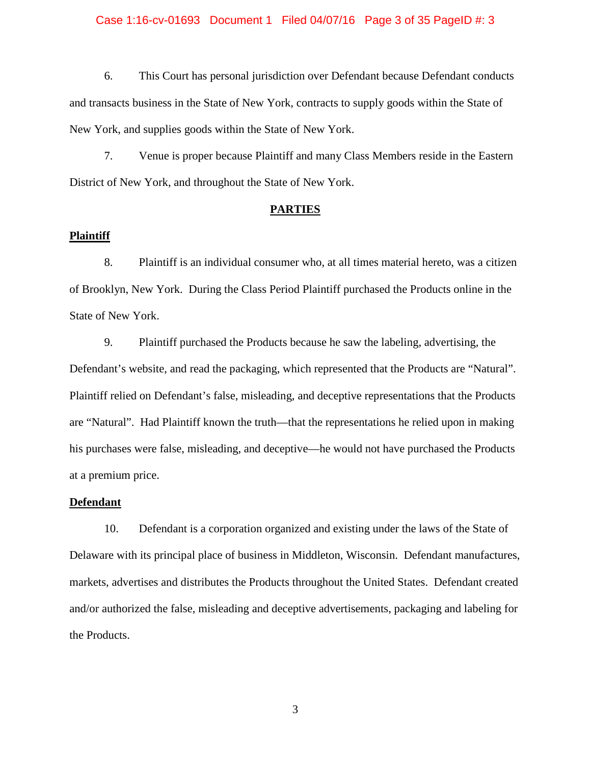### Case 1:16-cv-01693 Document 1 Filed 04/07/16 Page 3 of 35 PageID #: 3

6. This Court has personal jurisdiction over Defendant because Defendant conducts and transacts business in the State of New York, contracts to supply goods within the State of New York, and supplies goods within the State of New York.

7. Venue is proper because Plaintiff and many Class Members reside in the Eastern District of New York, and throughout the State of New York.

### **PARTIES**

### **Plaintiff**

8. Plaintiff is an individual consumer who, at all times material hereto, was a citizen of Brooklyn, New York. During the Class Period Plaintiff purchased the Products online in the State of New York.

9. Plaintiff purchased the Products because he saw the labeling, advertising, the Defendant's website, and read the packaging, which represented that the Products are "Natural". Plaintiff relied on Defendant's false, misleading, and deceptive representations that the Products are "Natural". Had Plaintiff known the truth—that the representations he relied upon in making his purchases were false, misleading, and deceptive—he would not have purchased the Products at a premium price.

## **Defendant**

10. Defendant is a corporation organized and existing under the laws of the State of Delaware with its principal place of business in Middleton, Wisconsin. Defendant manufactures, markets, advertises and distributes the Products throughout the United States. Defendant created and/or authorized the false, misleading and deceptive advertisements, packaging and labeling for the Products.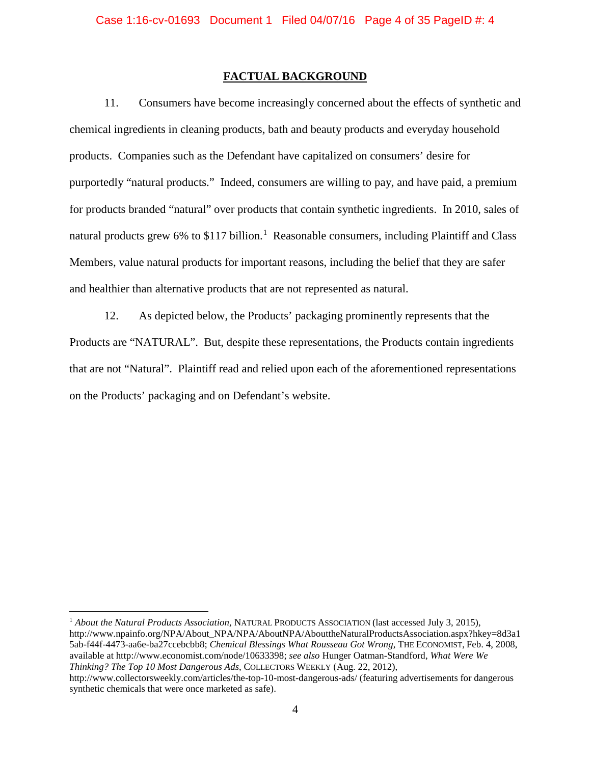### **FACTUAL BACKGROUND**

11. Consumers have become increasingly concerned about the effects of synthetic and chemical ingredients in cleaning products, bath and beauty products and everyday household products. Companies such as the Defendant have capitalized on consumers' desire for purportedly "natural products." Indeed, consumers are willing to pay, and have paid, a premium for products branded "natural" over products that contain synthetic ingredients. In 2010, sales of natural products grew 6% to \$[1](#page-3-0)17 billion.<sup>1</sup> Reasonable consumers, including Plaintiff and Class Members, value natural products for important reasons, including the belief that they are safer and healthier than alternative products that are not represented as natural.

12. As depicted below, the Products' packaging prominently represents that the Products are "NATURAL". But, despite these representations, the Products contain ingredients that are not "Natural". Plaintiff read and relied upon each of the aforementioned representations on the Products' packaging and on Defendant's website.

<span id="page-3-0"></span> <sup>1</sup> *About the Natural Products Association,* NATURAL PRODUCTS ASSOCIATION (last accessed July 3, 2015), http://www.npainfo.org/NPA/About\_NPA/NPA/AboutNPA/AbouttheNaturalProductsAssociation.aspx?hkey=8d3a1 5ab-f44f-4473-aa6e-ba27ccebcbb8; *Chemical Blessings What Rousseau Got Wrong*, THE ECONOMIST, Feb. 4, 2008, available at http://www.economist.com/node/10633398; *see also* Hunger Oatman-Standford, *What Were We Thinking? The Top 10 Most Dangerous Ads*, COLLECTORS WEEKLY (Aug. 22, 2012),

http://www.collectorsweekly.com/articles/the-top-10-most-dangerous-ads/ (featuring advertisements for dangerous synthetic chemicals that were once marketed as safe).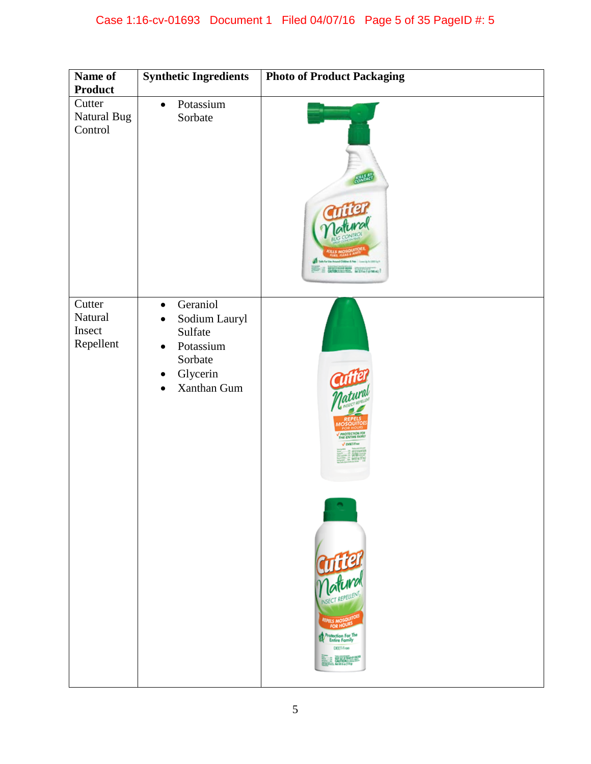| Name of<br>Product                       | <b>Synthetic Ingredients</b>                                                                                                   | <b>Photo of Product Packaging</b>                                                                                                      |
|------------------------------------------|--------------------------------------------------------------------------------------------------------------------------------|----------------------------------------------------------------------------------------------------------------------------------------|
| Cutter<br>Natural Bug<br>Control         | Potassium<br>$\bullet$<br>Sorbate                                                                                              |                                                                                                                                        |
| Cutter<br>Natural<br>Insect<br>Repellent | Geraniol<br>$\bullet$<br>Sodium Lauryl<br>$\bullet$<br>Sulfate<br>Potassium<br>$\bullet$<br>Sorbate<br>Glycerin<br>Xanthan Gum | <b>Current</b><br>Matural<br>INSECT REPELLENT<br><b>REPELS MOSQUITOD</b><br>Protection For The<br>Entire Family<br>DEET-From<br>ELAW 2 |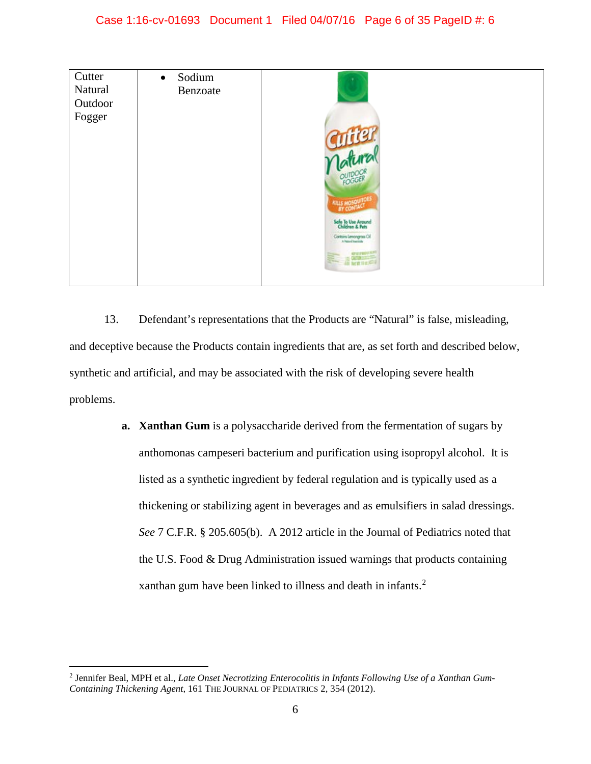

13. Defendant's representations that the Products are "Natural" is false, misleading, and deceptive because the Products contain ingredients that are, as set forth and described below, synthetic and artificial, and may be associated with the risk of developing severe health problems.

> **a. Xanthan Gum** is a polysaccharide derived from the fermentation of sugars by anthomonas campeseri bacterium and purification using isopropyl alcohol. It is listed as a synthetic ingredient by federal regulation and is typically used as a thickening or stabilizing agent in beverages and as emulsifiers in salad dressings. *See* 7 C.F.R. § 205.605(b). A 2012 article in the Journal of Pediatrics noted that the U.S. Food & Drug Administration issued warnings that products containing xanthan gum have been linked to illness and death in infants.<sup>[2](#page-5-0)</sup>

<span id="page-5-0"></span> <sup>2</sup> Jennifer Beal, MPH et al., *Late Onset Necrotizing Enterocolitis in Infants Following Use of a Xanthan Gum-Containing Thickening Agent*, 161 THE JOURNAL OF PEDIATRICS 2, 354 (2012).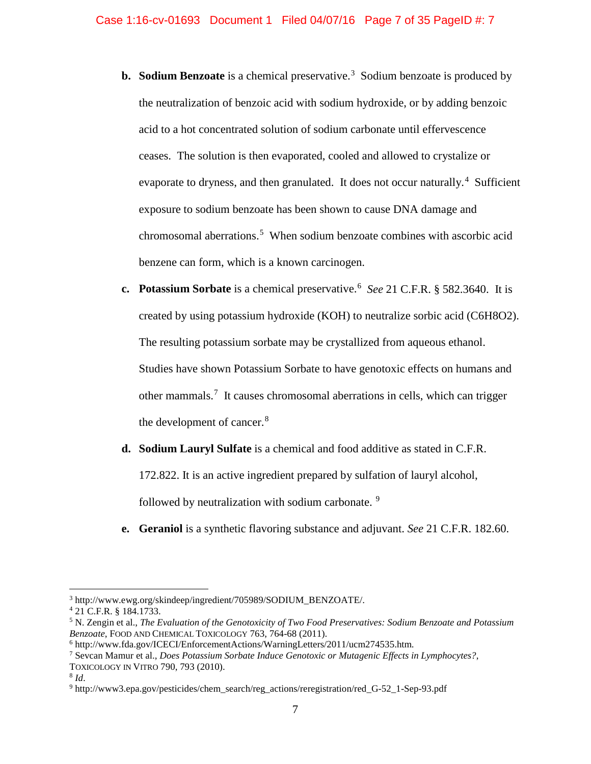- **b.** Sodium Benzoate is a chemical preservative.<sup>[3](#page-6-0)</sup> Sodium benzoate is produced by the neutralization of benzoic acid with sodium hydroxide, or by adding benzoic acid to a hot concentrated solution of sodium carbonate until effervescence ceases. The solution is then evaporated, cooled and allowed to crystalize or evaporate to dryness, and then granulated. It does not occur naturally.<sup>[4](#page-6-1)</sup> Sufficient exposure to sodium benzoate has been shown to cause DNA damage and chromosomal aberrations.<sup>[5](#page-6-2)</sup> When sodium benzoate combines with ascorbic acid benzene can form, which is a known carcinogen.
- **c. Potassium Sorbate** is a chemical preservative.[6](#page-6-3) *See* 21 C.F.R. § 582.3640. It is created by using potassium hydroxide (KOH) to neutralize sorbic acid (C6H8O2). The resulting potassium sorbate may be crystallized from aqueous ethanol. Studies have shown Potassium Sorbate to have genotoxic effects on humans and other mammals.<sup>[7](#page-6-4)</sup> It causes chromosomal aberrations in cells, which can trigger the development of cancer.<sup>[8](#page-6-5)</sup>
- **d. Sodium Lauryl Sulfate** is a chemical and food additive as stated in C.F.R.

172.822. It is an active ingredient prepared by sulfation of lauryl alcohol,

followed by neutralization with sodium carbonate.<sup>[9](#page-6-6)</sup>

**e. Geraniol** is a synthetic flavoring substance and adjuvant. *See* 21 C.F.R. 182.60.

<span id="page-6-0"></span> <sup>3</sup> http://www.ewg.org/skindeep/ingredient/705989/SODIUM\_BENZOATE/.

<span id="page-6-1"></span><sup>4</sup> 21 C.F.R. § 184.1733.

<span id="page-6-2"></span><sup>5</sup> N. Zengin et al., *The Evaluation of the Genotoxicity of Two Food Preservatives: Sodium Benzoate and Potassium Benzoate*, FOOD AND CHEMICAL TOXICOLOGY 763, 764-68 (2011).

<span id="page-6-3"></span> $6$  http://www.fda.gov/ICECI/EnforcementActions/WarningLetters/2011/ucm274535.htm.

<span id="page-6-4"></span><sup>7</sup> Sevcan Mamur et al., *Does Potassium Sorbate Induce Genotoxic or Mutagenic Effects in Lymphocytes?*,

TOXICOLOGY IN VITRO 790, 793 (2010).

<span id="page-6-5"></span> $8$  *Id.* 

<span id="page-6-6"></span><sup>9</sup> http://www3.epa.gov/pesticides/chem\_search/reg\_actions/reregistration/red\_G-52\_1-Sep-93.pdf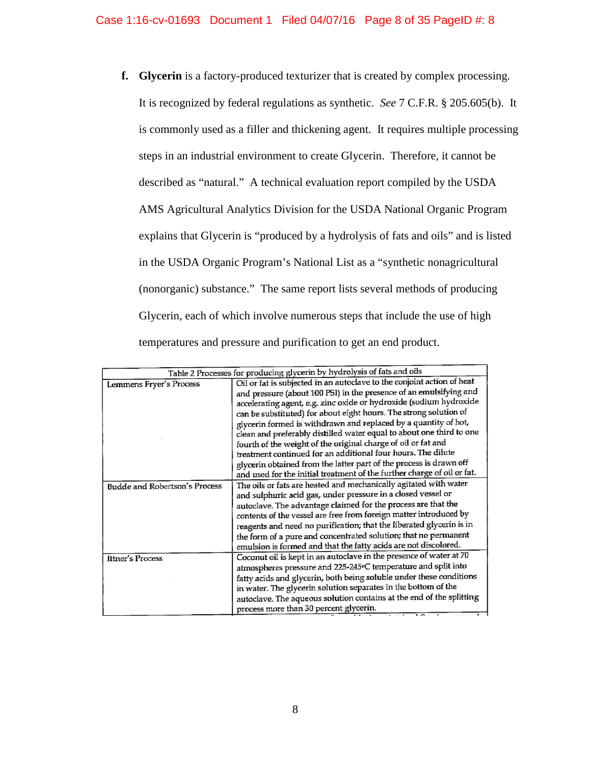**f. Glycerin** is a factory-produced texturizer that is created by complex processing. It is recognized by federal regulations as synthetic. *See* 7 C.F.R. § 205.605(b). It is commonly used as a filler and thickening agent. It requires multiple processing steps in an industrial environment to create Glycerin. Therefore, it cannot be described as "natural." A technical evaluation report compiled by the USDA AMS Agricultural Analytics Division for the USDA National Organic Program explains that Glycerin is "produced by a hydrolysis of fats and oils" and is listed in the USDA Organic Program's National List as a "synthetic nonagricultural (nonorganic) substance." The same report lists several methods of producing Glycerin, each of which involve numerous steps that include the use of high temperatures and pressure and purification to get an end product.

| Table 2 Processes for producing glycerin by hydrolysis of fats and oils |                                                                         |  |  |  |  |
|-------------------------------------------------------------------------|-------------------------------------------------------------------------|--|--|--|--|
|                                                                         | Oil or fat is subjected in an autoclave to the conjoint action of heat  |  |  |  |  |
| Lemmens Fryer's Process                                                 | and pressure (about 100 PSI) in the presence of an emulsifying and      |  |  |  |  |
|                                                                         | accelerating agent, e.g. zinc oxide or hydroxide (sodium hydroxide      |  |  |  |  |
|                                                                         | can be substituted) for about eight hours. The strong solution of       |  |  |  |  |
|                                                                         | glycerin formed is withdrawn and replaced by a quantity of hot,         |  |  |  |  |
|                                                                         | clean and preferably distilled water equal to about one third to one    |  |  |  |  |
|                                                                         | fourth of the weight of the original charge of oil or fat and           |  |  |  |  |
|                                                                         | treatment continued for an additional four hours. The dilute            |  |  |  |  |
|                                                                         | glycerin obtained from the latter part of the process is drawn off      |  |  |  |  |
|                                                                         | and used for the initial treatment of the further charge of oil or fat. |  |  |  |  |
| <b>Budde and Robertson's Process</b>                                    | The oils or fats are heated and mechanically agitated with water        |  |  |  |  |
|                                                                         | and sulphuric acid gas, under pressure in a closed vessel or            |  |  |  |  |
|                                                                         | autoclave. The advantage claimed for the process are that the           |  |  |  |  |
|                                                                         | contents of the vessel are free from foreign matter introduced by       |  |  |  |  |
|                                                                         | reagents and need no purification; that the liberated glycerin is in    |  |  |  |  |
|                                                                         | the form of a pure and concentrated solution; that no permanent         |  |  |  |  |
|                                                                         | emulsion is formed and that the fatty acids are not discolored.         |  |  |  |  |
| Ittner's Process                                                        | Coconut oil is kept in an autoclave in the presence of water at 70      |  |  |  |  |
|                                                                         | atmospheres pressure and 225-245°C temperature and split into           |  |  |  |  |
|                                                                         | fatty acids and glycerin, both being soluble under these conditions     |  |  |  |  |
|                                                                         | in water. The glycerin solution separates in the bottom of the          |  |  |  |  |
|                                                                         | autoclave. The aqueous solution contains at the end of the splitting    |  |  |  |  |
|                                                                         | process more than 30 percent glycerin.                                  |  |  |  |  |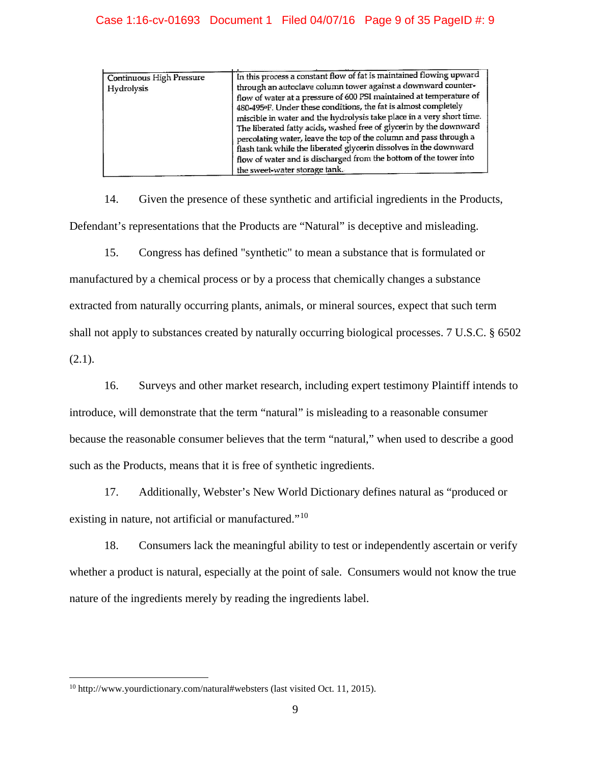## Case 1:16-cv-01693 Document 1 Filed 04/07/16 Page 9 of 35 PageID #: 9

| <b>Continuous High Pressure</b> | In this process a constant flow of fat is maintained flowing upward   |
|---------------------------------|-----------------------------------------------------------------------|
|                                 | through an autoclave column tower against a downward counter-         |
| Hydrolysis                      | flow of water at a pressure of 600 PSI maintained at temperature of   |
|                                 |                                                                       |
|                                 | 480-495°F. Under these conditions, the fat is almost completely       |
|                                 | miscible in water and the hydrolysis take place in a very short time. |
|                                 | The liberated fatty acids, washed free of glycerin by the downward    |
|                                 | percolating water, leave the top of the column and pass through a     |
|                                 | flash tank while the liberated glycerin dissolves in the downward     |
|                                 | flow of water and is discharged from the bottom of the tower into     |
|                                 | the sweet-water storage tank.                                         |

14. Given the presence of these synthetic and artificial ingredients in the Products, Defendant's representations that the Products are "Natural" is deceptive and misleading.

15. Congress has defined "synthetic" to mean a substance that is formulated or manufactured by a chemical process or by a process that chemically changes a substance extracted from naturally occurring plants, animals, or mineral sources, expect that such term shall not apply to substances created by naturally occurring biological processes. 7 U.S.C. § 6502  $(2.1).$ 

16. Surveys and other market research, including expert testimony Plaintiff intends to introduce, will demonstrate that the term "natural" is misleading to a reasonable consumer because the reasonable consumer believes that the term "natural," when used to describe a good such as the Products, means that it is free of synthetic ingredients.

17. Additionally, Webster's New World Dictionary defines natural as "produced or existing in nature, not artificial or manufactured."<sup>[10](#page-8-0)</sup>

18. Consumers lack the meaningful ability to test or independently ascertain or verify whether a product is natural, especially at the point of sale. Consumers would not know the true nature of the ingredients merely by reading the ingredients label.

<span id="page-8-0"></span> <sup>10</sup> http://www.yourdictionary.com/natural#websters (last visited Oct. 11, 2015).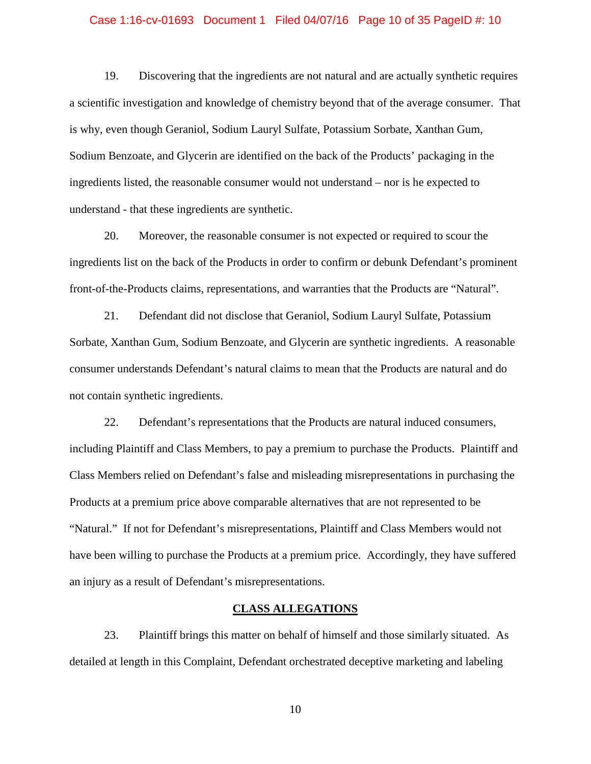### Case 1:16-cv-01693 Document 1 Filed 04/07/16 Page 10 of 35 PageID #: 10

19. Discovering that the ingredients are not natural and are actually synthetic requires a scientific investigation and knowledge of chemistry beyond that of the average consumer. That is why, even though Geraniol, Sodium Lauryl Sulfate, Potassium Sorbate, Xanthan Gum, Sodium Benzoate, and Glycerin are identified on the back of the Products' packaging in the ingredients listed, the reasonable consumer would not understand – nor is he expected to understand - that these ingredients are synthetic.

20. Moreover, the reasonable consumer is not expected or required to scour the ingredients list on the back of the Products in order to confirm or debunk Defendant's prominent front-of-the-Products claims, representations, and warranties that the Products are "Natural".

21. Defendant did not disclose that Geraniol, Sodium Lauryl Sulfate, Potassium Sorbate, Xanthan Gum, Sodium Benzoate, and Glycerin are synthetic ingredients. A reasonable consumer understands Defendant's natural claims to mean that the Products are natural and do not contain synthetic ingredients.

22. Defendant's representations that the Products are natural induced consumers, including Plaintiff and Class Members, to pay a premium to purchase the Products. Plaintiff and Class Members relied on Defendant's false and misleading misrepresentations in purchasing the Products at a premium price above comparable alternatives that are not represented to be "Natural." If not for Defendant's misrepresentations, Plaintiff and Class Members would not have been willing to purchase the Products at a premium price. Accordingly, they have suffered an injury as a result of Defendant's misrepresentations.

## **CLASS ALLEGATIONS**

23. Plaintiff brings this matter on behalf of himself and those similarly situated. As detailed at length in this Complaint, Defendant orchestrated deceptive marketing and labeling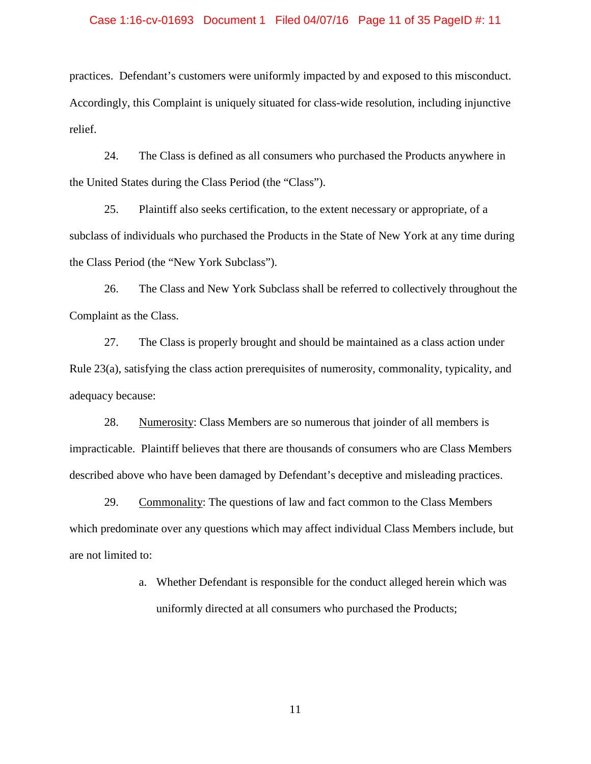### Case 1:16-cv-01693 Document 1 Filed 04/07/16 Page 11 of 35 PageID #: 11

practices. Defendant's customers were uniformly impacted by and exposed to this misconduct. Accordingly, this Complaint is uniquely situated for class-wide resolution, including injunctive relief.

24. The Class is defined as all consumers who purchased the Products anywhere in the United States during the Class Period (the "Class").

25. Plaintiff also seeks certification, to the extent necessary or appropriate, of a subclass of individuals who purchased the Products in the State of New York at any time during the Class Period (the "New York Subclass").

26. The Class and New York Subclass shall be referred to collectively throughout the Complaint as the Class.

27. The Class is properly brought and should be maintained as a class action under Rule 23(a), satisfying the class action prerequisites of numerosity, commonality, typicality, and adequacy because:

28. Numerosity: Class Members are so numerous that joinder of all members is impracticable. Plaintiff believes that there are thousands of consumers who are Class Members described above who have been damaged by Defendant's deceptive and misleading practices.

29. Commonality: The questions of law and fact common to the Class Members which predominate over any questions which may affect individual Class Members include, but are not limited to:

> a. Whether Defendant is responsible for the conduct alleged herein which was uniformly directed at all consumers who purchased the Products;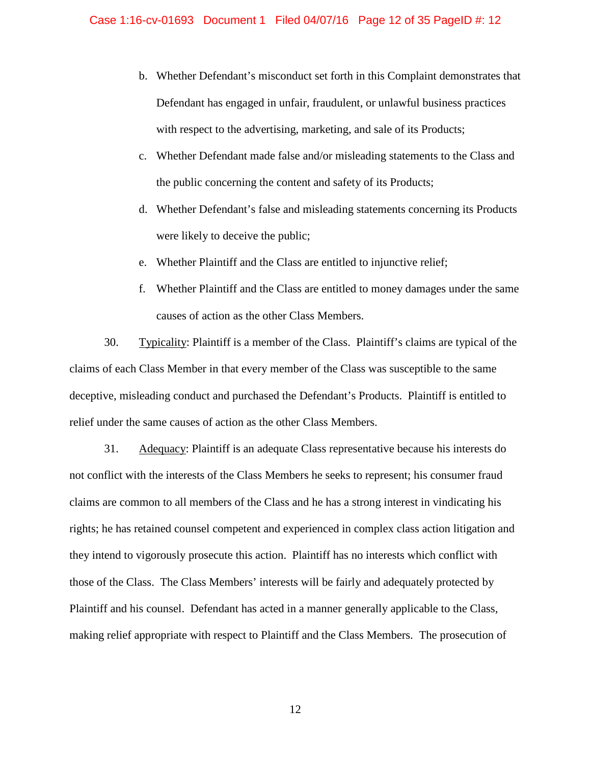- b. Whether Defendant's misconduct set forth in this Complaint demonstrates that Defendant has engaged in unfair, fraudulent, or unlawful business practices with respect to the advertising, marketing, and sale of its Products;
- c. Whether Defendant made false and/or misleading statements to the Class and the public concerning the content and safety of its Products;
- d. Whether Defendant's false and misleading statements concerning its Products were likely to deceive the public;
- e. Whether Plaintiff and the Class are entitled to injunctive relief;
- f. Whether Plaintiff and the Class are entitled to money damages under the same causes of action as the other Class Members.

30. Typicality: Plaintiff is a member of the Class. Plaintiff's claims are typical of the claims of each Class Member in that every member of the Class was susceptible to the same deceptive, misleading conduct and purchased the Defendant's Products. Plaintiff is entitled to relief under the same causes of action as the other Class Members.

31. Adequacy: Plaintiff is an adequate Class representative because his interests do not conflict with the interests of the Class Members he seeks to represent; his consumer fraud claims are common to all members of the Class and he has a strong interest in vindicating his rights; he has retained counsel competent and experienced in complex class action litigation and they intend to vigorously prosecute this action. Plaintiff has no interests which conflict with those of the Class. The Class Members' interests will be fairly and adequately protected by Plaintiff and his counsel. Defendant has acted in a manner generally applicable to the Class, making relief appropriate with respect to Plaintiff and the Class Members. The prosecution of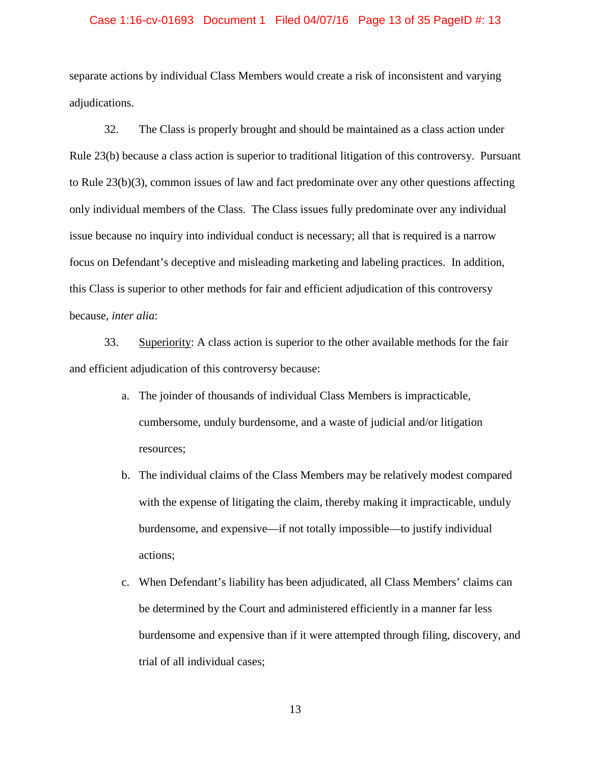### Case 1:16-cv-01693 Document 1 Filed 04/07/16 Page 13 of 35 PageID #: 13

separate actions by individual Class Members would create a risk of inconsistent and varying adjudications.

32. The Class is properly brought and should be maintained as a class action under Rule 23(b) because a class action is superior to traditional litigation of this controversy. Pursuant to Rule 23(b)(3), common issues of law and fact predominate over any other questions affecting only individual members of the Class. The Class issues fully predominate over any individual issue because no inquiry into individual conduct is necessary; all that is required is a narrow focus on Defendant's deceptive and misleading marketing and labeling practices. In addition, this Class is superior to other methods for fair and efficient adjudication of this controversy because, *inter alia*:

33. Superiority: A class action is superior to the other available methods for the fair and efficient adjudication of this controversy because:

- a. The joinder of thousands of individual Class Members is impracticable, cumbersome, unduly burdensome, and a waste of judicial and/or litigation resources;
- b. The individual claims of the Class Members may be relatively modest compared with the expense of litigating the claim, thereby making it impracticable, unduly burdensome, and expensive—if not totally impossible—to justify individual actions;
- c. When Defendant's liability has been adjudicated, all Class Members' claims can be determined by the Court and administered efficiently in a manner far less burdensome and expensive than if it were attempted through filing, discovery, and trial of all individual cases;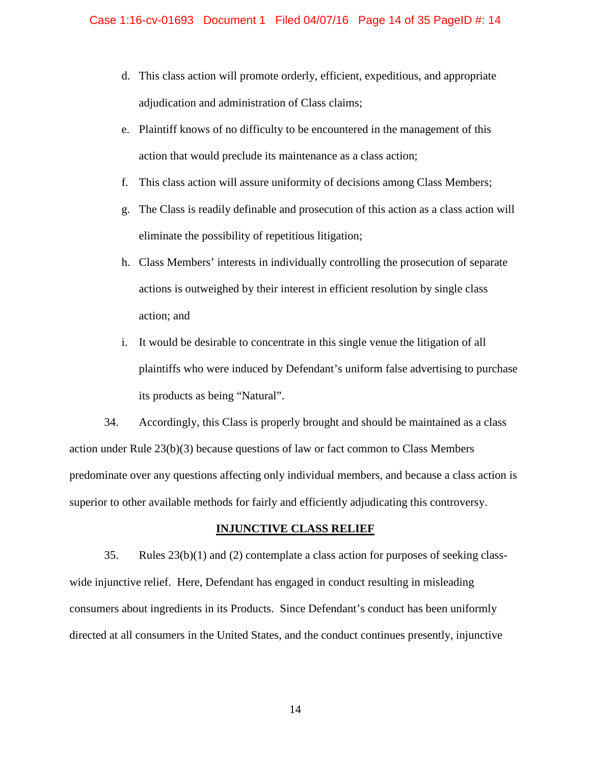- d. This class action will promote orderly, efficient, expeditious, and appropriate adjudication and administration of Class claims;
- e. Plaintiff knows of no difficulty to be encountered in the management of this action that would preclude its maintenance as a class action;
- f. This class action will assure uniformity of decisions among Class Members;
- g. The Class is readily definable and prosecution of this action as a class action will eliminate the possibility of repetitious litigation;
- h. Class Members' interests in individually controlling the prosecution of separate actions is outweighed by their interest in efficient resolution by single class action; and
- i. It would be desirable to concentrate in this single venue the litigation of all plaintiffs who were induced by Defendant's uniform false advertising to purchase its products as being "Natural".

34. Accordingly, this Class is properly brought and should be maintained as a class action under Rule 23(b)(3) because questions of law or fact common to Class Members predominate over any questions affecting only individual members, and because a class action is superior to other available methods for fairly and efficiently adjudicating this controversy.

## **INJUNCTIVE CLASS RELIEF**

35. Rules 23(b)(1) and (2) contemplate a class action for purposes of seeking classwide injunctive relief. Here, Defendant has engaged in conduct resulting in misleading consumers about ingredients in its Products. Since Defendant's conduct has been uniformly directed at all consumers in the United States, and the conduct continues presently, injunctive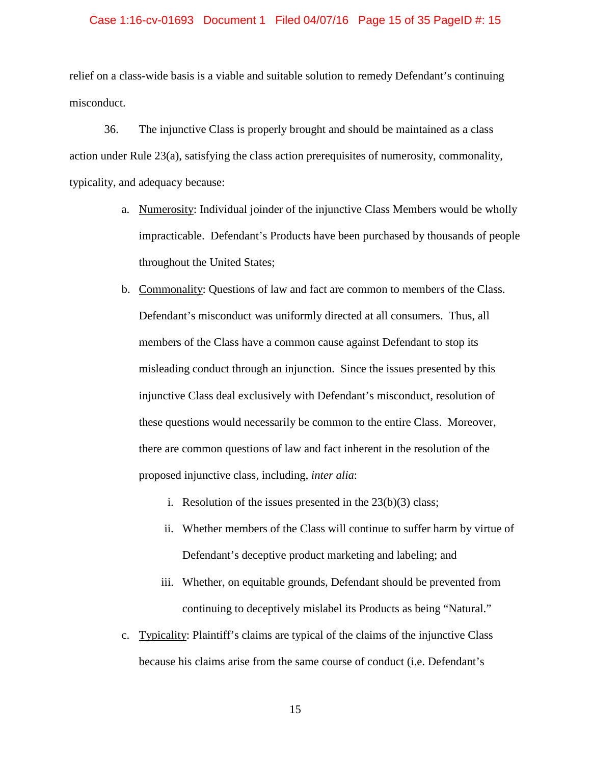### Case 1:16-cv-01693 Document 1 Filed 04/07/16 Page 15 of 35 PageID #: 15

relief on a class-wide basis is a viable and suitable solution to remedy Defendant's continuing misconduct.

36. The injunctive Class is properly brought and should be maintained as a class action under Rule 23(a), satisfying the class action prerequisites of numerosity, commonality, typicality, and adequacy because:

- a. Numerosity: Individual joinder of the injunctive Class Members would be wholly impracticable. Defendant's Products have been purchased by thousands of people throughout the United States;
- b. Commonality: Questions of law and fact are common to members of the Class. Defendant's misconduct was uniformly directed at all consumers. Thus, all members of the Class have a common cause against Defendant to stop its misleading conduct through an injunction. Since the issues presented by this injunctive Class deal exclusively with Defendant's misconduct, resolution of these questions would necessarily be common to the entire Class. Moreover, there are common questions of law and fact inherent in the resolution of the proposed injunctive class, including, *inter alia*:
	- i. Resolution of the issues presented in the  $23(b)(3)$  class;
	- ii. Whether members of the Class will continue to suffer harm by virtue of Defendant's deceptive product marketing and labeling; and
	- iii. Whether, on equitable grounds, Defendant should be prevented from continuing to deceptively mislabel its Products as being "Natural."
- c. Typicality: Plaintiff's claims are typical of the claims of the injunctive Class because his claims arise from the same course of conduct (i.e. Defendant's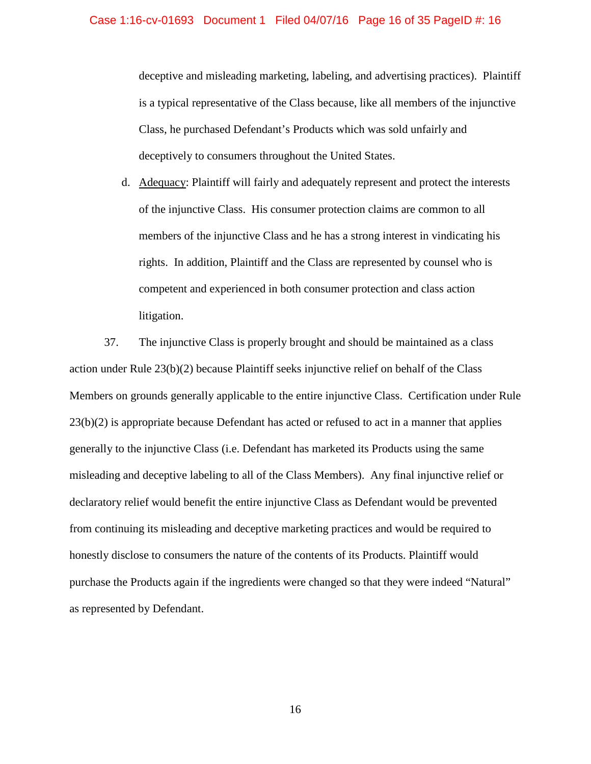deceptive and misleading marketing, labeling, and advertising practices). Plaintiff is a typical representative of the Class because, like all members of the injunctive Class, he purchased Defendant's Products which was sold unfairly and deceptively to consumers throughout the United States.

d. Adequacy: Plaintiff will fairly and adequately represent and protect the interests of the injunctive Class. His consumer protection claims are common to all members of the injunctive Class and he has a strong interest in vindicating his rights. In addition, Plaintiff and the Class are represented by counsel who is competent and experienced in both consumer protection and class action litigation.

37. The injunctive Class is properly brought and should be maintained as a class action under Rule 23(b)(2) because Plaintiff seeks injunctive relief on behalf of the Class Members on grounds generally applicable to the entire injunctive Class. Certification under Rule 23(b)(2) is appropriate because Defendant has acted or refused to act in a manner that applies generally to the injunctive Class (i.e. Defendant has marketed its Products using the same misleading and deceptive labeling to all of the Class Members). Any final injunctive relief or declaratory relief would benefit the entire injunctive Class as Defendant would be prevented from continuing its misleading and deceptive marketing practices and would be required to honestly disclose to consumers the nature of the contents of its Products. Plaintiff would purchase the Products again if the ingredients were changed so that they were indeed "Natural" as represented by Defendant.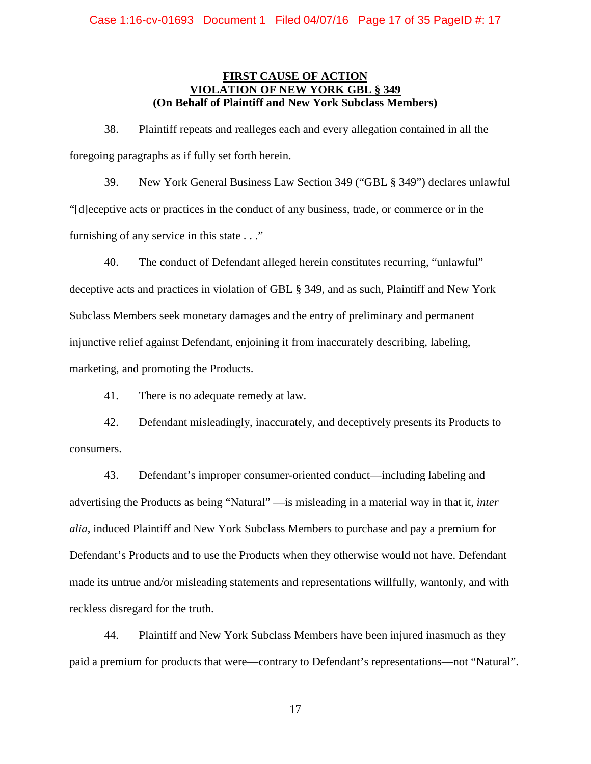## **FIRST CAUSE OF ACTION VIOLATION OF NEW YORK GBI (On Behalf of Plaintiff and New York Subclass Members)**

38. Plaintiff repeats and realleges each and every allegation contained in all the foregoing paragraphs as if fully set forth herein.

39. New York General Business Law Section 349 ("GBL § 349") declares unlawful "[d]eceptive acts or practices in the conduct of any business, trade, or commerce or in the furnishing of any service in this state . . ."

40. The conduct of Defendant alleged herein constitutes recurring, "unlawful" deceptive acts and practices in violation of GBL § 349, and as such, Plaintiff and New York Subclass Members seek monetary damages and the entry of preliminary and permanent injunctive relief against Defendant, enjoining it from inaccurately describing, labeling, marketing, and promoting the Products.

41. There is no adequate remedy at law.

42. Defendant misleadingly, inaccurately, and deceptively presents its Products to consumers.

43. Defendant's improper consumer-oriented conduct—including labeling and advertising the Products as being "Natural" —is misleading in a material way in that it, *inter alia*, induced Plaintiff and New York Subclass Members to purchase and pay a premium for Defendant's Products and to use the Products when they otherwise would not have. Defendant made its untrue and/or misleading statements and representations willfully, wantonly, and with reckless disregard for the truth.

44. Plaintiff and New York Subclass Members have been injured inasmuch as they paid a premium for products that were—contrary to Defendant's representations—not "Natural".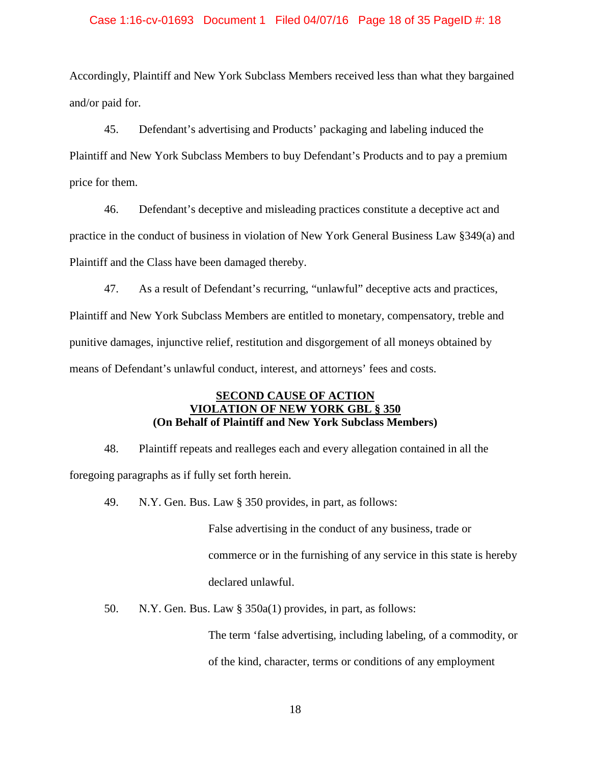### Case 1:16-cv-01693 Document 1 Filed 04/07/16 Page 18 of 35 PageID #: 18

Accordingly, Plaintiff and New York Subclass Members received less than what they bargained and/or paid for.

45. Defendant's advertising and Products' packaging and labeling induced the Plaintiff and New York Subclass Members to buy Defendant's Products and to pay a premium price for them.

46. Defendant's deceptive and misleading practices constitute a deceptive act and practice in the conduct of business in violation of New York General Business Law §349(a) and Plaintiff and the Class have been damaged thereby.

47. As a result of Defendant's recurring, "unlawful" deceptive acts and practices, Plaintiff and New York Subclass Members are entitled to monetary, compensatory, treble and punitive damages, injunctive relief, restitution and disgorgement of all moneys obtained by means of Defendant's unlawful conduct, interest, and attorneys' fees and costs.

## **SECOND CAUSE OF ACTION VIOLATION OF NEW YORK GBL § 350 (On Behalf of Plaintiff and New York Subclass Members)**

48. Plaintiff repeats and realleges each and every allegation contained in all the foregoing paragraphs as if fully set forth herein.

49. N.Y. Gen. Bus. Law § 350 provides, in part, as follows:

False advertising in the conduct of any business, trade or commerce or in the furnishing of any service in this state is hereby declared unlawful.

50. N.Y. Gen. Bus. Law § 350a(1) provides, in part, as follows:

The term 'false advertising, including labeling, of a commodity, or of the kind, character, terms or conditions of any employment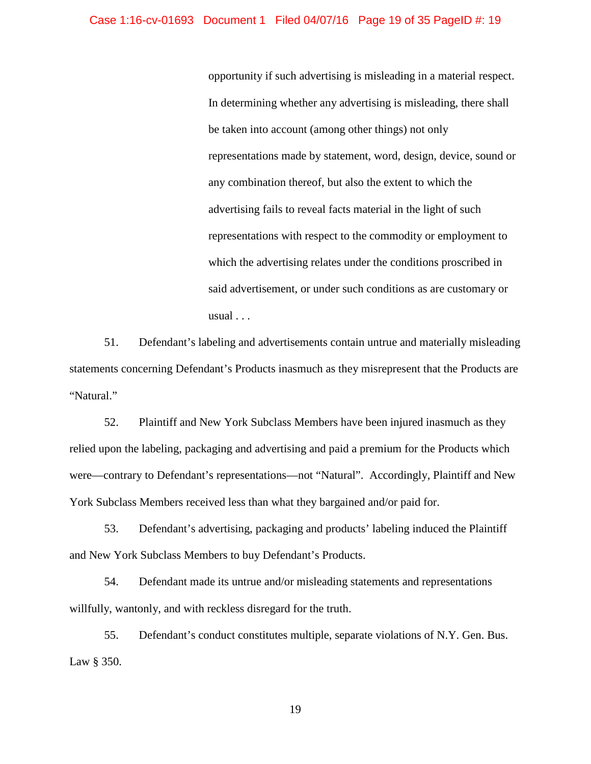## Case 1:16-cv-01693 Document 1 Filed 04/07/16 Page 19 of 35 PageID #: 19

opportunity if such advertising is misleading in a material respect. In determining whether any advertising is misleading, there shall be taken into account (among other things) not only representations made by statement, word, design, device, sound or any combination thereof, but also the extent to which the advertising fails to reveal facts material in the light of such representations with respect to the commodity or employment to which the advertising relates under the conditions proscribed in said advertisement, or under such conditions as are customary or usual . . .

51. Defendant's labeling and advertisements contain untrue and materially misleading statements concerning Defendant's Products inasmuch as they misrepresent that the Products are "Natural."

52. Plaintiff and New York Subclass Members have been injured inasmuch as they relied upon the labeling, packaging and advertising and paid a premium for the Products which were—contrary to Defendant's representations—not "Natural". Accordingly, Plaintiff and New York Subclass Members received less than what they bargained and/or paid for.

53. Defendant's advertising, packaging and products' labeling induced the Plaintiff and New York Subclass Members to buy Defendant's Products.

54. Defendant made its untrue and/or misleading statements and representations willfully, wantonly, and with reckless disregard for the truth.

55. Defendant's conduct constitutes multiple, separate violations of N.Y. Gen. Bus. Law § 350.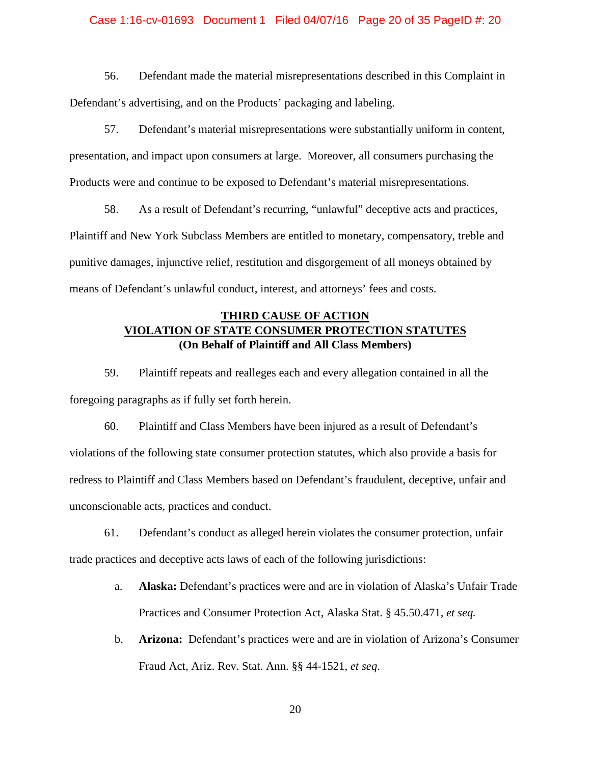### Case 1:16-cv-01693 Document 1 Filed 04/07/16 Page 20 of 35 PageID #: 20

56. Defendant made the material misrepresentations described in this Complaint in Defendant's advertising, and on the Products' packaging and labeling.

57. Defendant's material misrepresentations were substantially uniform in content, presentation, and impact upon consumers at large. Moreover, all consumers purchasing the Products were and continue to be exposed to Defendant's material misrepresentations.

58. As a result of Defendant's recurring, "unlawful" deceptive acts and practices, Plaintiff and New York Subclass Members are entitled to monetary, compensatory, treble and punitive damages, injunctive relief, restitution and disgorgement of all moneys obtained by means of Defendant's unlawful conduct, interest, and attorneys' fees and costs.

## **THIRD CAUSE OF ACTION VIOLATION OF STATE CONSUMER PROTECTION STATUTES (On Behalf of Plaintiff and All Class Members)**

59. Plaintiff repeats and realleges each and every allegation contained in all the foregoing paragraphs as if fully set forth herein.

60. Plaintiff and Class Members have been injured as a result of Defendant's violations of the following state consumer protection statutes, which also provide a basis for redress to Plaintiff and Class Members based on Defendant's fraudulent, deceptive, unfair and unconscionable acts, practices and conduct.

61. Defendant's conduct as alleged herein violates the consumer protection, unfair trade practices and deceptive acts laws of each of the following jurisdictions:

- a. **Alaska:** Defendant's practices were and are in violation of Alaska's Unfair Trade Practices and Consumer Protection Act, Alaska Stat. § 45.50.471, *et seq.*
- b. **Arizona:** Defendant's practices were and are in violation of Arizona's Consumer Fraud Act, Ariz. Rev. Stat. Ann. §§ 44-1521, *et seq*.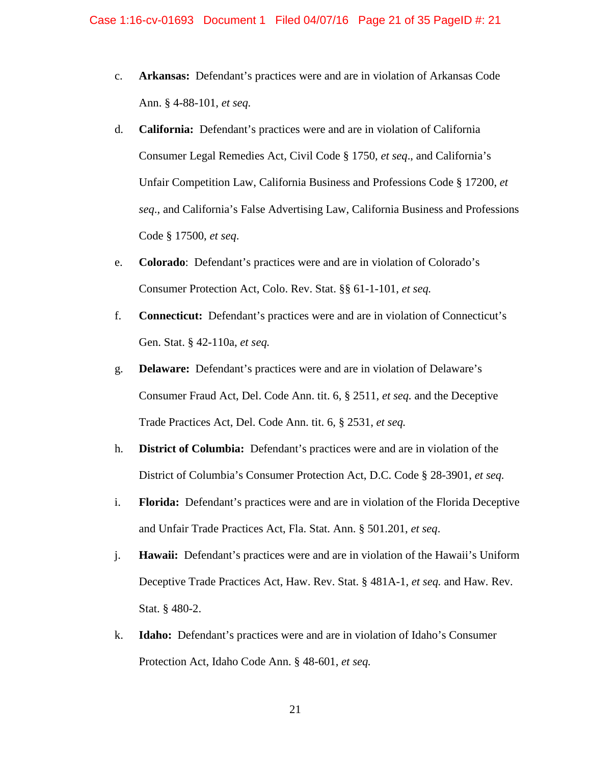- c. **Arkansas:** Defendant's practices were and are in violation of Arkansas Code Ann. § 4-88-101, *et seq.*
- d. **California:** Defendant's practices were and are in violation of California Consumer Legal Remedies Act, Civil Code § 1750, *et seq*., and California's Unfair Competition Law, California Business and Professions Code § 17200, *et seq*., and California's False Advertising Law, California Business and Professions Code § 17500, *et seq*.
- e. **Colorado**: Defendant's practices were and are in violation of Colorado's Consumer Protection Act, Colo. Rev. Stat. §§ 61-1-101, *et seq.*
- f. **Connecticut:** Defendant's practices were and are in violation of Connecticut's Gen. Stat. § 42-110a, *et seq.*
- g. **Delaware:** Defendant's practices were and are in violation of Delaware's Consumer Fraud Act, Del. Code Ann. tit. 6, § 2511, *et seq.* and the Deceptive Trade Practices Act, Del. Code Ann. tit. 6, § 2531, *et seq.*
- h. **District of Columbia:** Defendant's practices were and are in violation of the District of Columbia's Consumer Protection Act, D.C. Code § 28-3901, *et seq.*
- i. **Florida:** Defendant's practices were and are in violation of the Florida Deceptive and Unfair Trade Practices Act, Fla. Stat. Ann. § 501.201, *et seq*.
- j. **Hawaii:** Defendant's practices were and are in violation of the Hawaii's Uniform Deceptive Trade Practices Act, Haw. Rev. Stat. § 481A-1, *et seq.* and Haw. Rev. Stat. § 480-2.
- k. **Idaho:** Defendant's practices were and are in violation of Idaho's Consumer Protection Act, Idaho Code Ann. § 48-601, *et seq.*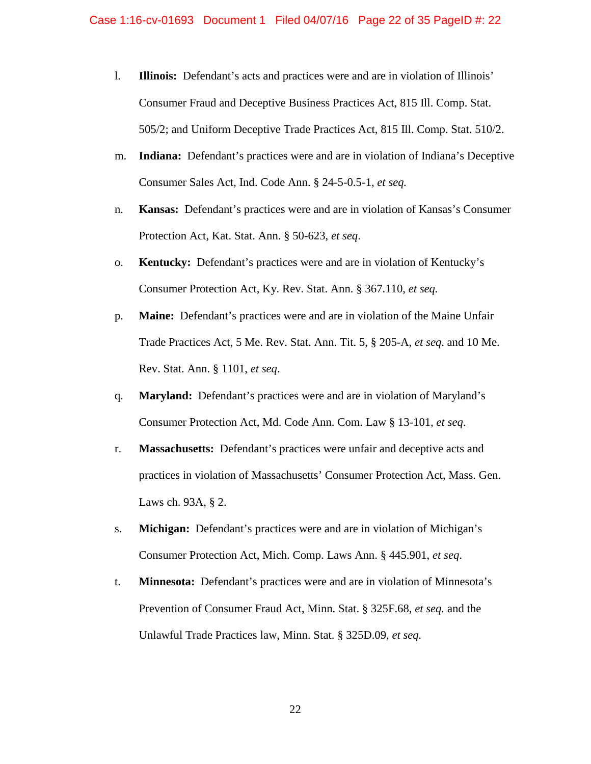### Case 1:16-cv-01693 Document 1 Filed 04/07/16 Page 22 of 35 PageID #: 22

- l. **Illinois:** Defendant's acts and practices were and are in violation of Illinois' Consumer Fraud and Deceptive Business Practices Act, 815 Ill. Comp. Stat. 505/2; and Uniform Deceptive Trade Practices Act, 815 Ill. Comp. Stat. 510/2.
- m. **Indiana:** Defendant's practices were and are in violation of Indiana's Deceptive Consumer Sales Act, Ind. Code Ann. § 24-5-0.5-1, *et seq.*
- n. **Kansas:** Defendant's practices were and are in violation of Kansas's Consumer Protection Act, Kat. Stat. Ann. § 50-623, *et seq*.
- o. **Kentucky:** Defendant's practices were and are in violation of Kentucky's Consumer Protection Act, Ky. Rev. Stat. Ann. § 367.110, *et seq.*
- p. **Maine:** Defendant's practices were and are in violation of the Maine Unfair Trade Practices Act, 5 Me. Rev. Stat. Ann. Tit. 5, § 205-A, *et seq*. and 10 Me. Rev. Stat. Ann. § 1101, *et seq*.
- q. **Maryland:** Defendant's practices were and are in violation of Maryland's Consumer Protection Act, Md. Code Ann. Com. Law § 13-101, *et seq*.
- r. **Massachusetts:** Defendant's practices were unfair and deceptive acts and practices in violation of Massachusetts' Consumer Protection Act, Mass. Gen. Laws ch. 93A, § 2.
- s. **Michigan:** Defendant's practices were and are in violation of Michigan's Consumer Protection Act, Mich. Comp. Laws Ann. § 445.901, *et seq*.
- t. **Minnesota:** Defendant's practices were and are in violation of Minnesota's Prevention of Consumer Fraud Act, Minn. Stat. § 325F.68, *et seq.* and the Unlawful Trade Practices law, Minn. Stat. § 325D.09, *et seq.*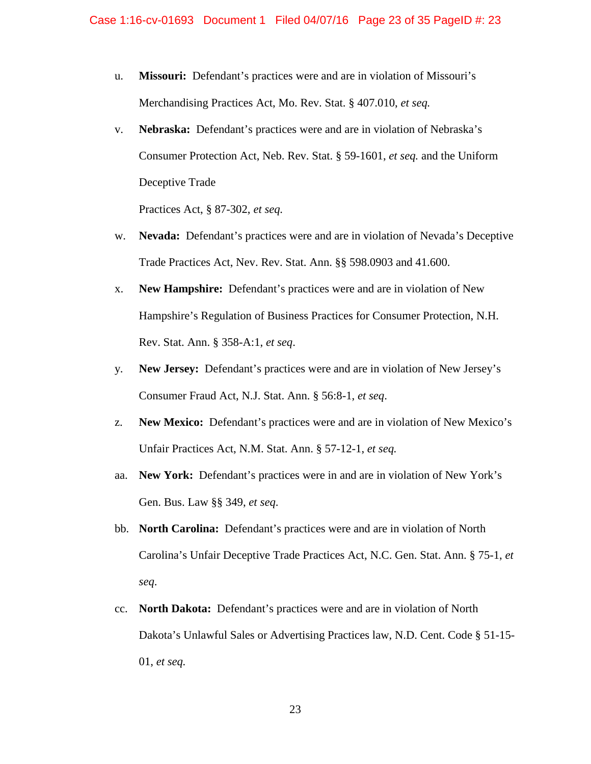- u. **Missouri:** Defendant's practices were and are in violation of Missouri's Merchandising Practices Act, Mo. Rev. Stat. § 407.010, *et seq.*
- v. **Nebraska:** Defendant's practices were and are in violation of Nebraska's Consumer Protection Act, Neb. Rev. Stat. § 59-1601, *et seq.* and the Uniform Deceptive Trade

Practices Act, § 87-302, *et seq.*

- w. **Nevada:** Defendant's practices were and are in violation of Nevada's Deceptive Trade Practices Act, Nev. Rev. Stat. Ann. §§ 598.0903 and 41.600.
- x. **New Hampshire:** Defendant's practices were and are in violation of New Hampshire's Regulation of Business Practices for Consumer Protection, N.H. Rev. Stat. Ann. § 358-A:1, *et seq*.
- y. **New Jersey:** Defendant's practices were and are in violation of New Jersey's Consumer Fraud Act, N.J. Stat. Ann. § 56:8-1, *et seq*.
- z. **New Mexico:** Defendant's practices were and are in violation of New Mexico's Unfair Practices Act, N.M. Stat. Ann. § 57-12-1, *et seq.*
- aa. **New York:** Defendant's practices were in and are in violation of New York's Gen. Bus. Law §§ 349, *et seq*.
- bb. **North Carolina:** Defendant's practices were and are in violation of North Carolina's Unfair Deceptive Trade Practices Act, N.C. Gen. Stat. Ann. § 75-1, *et seq*.
- cc. **North Dakota:** Defendant's practices were and are in violation of North Dakota's Unlawful Sales or Advertising Practices law, N.D. Cent. Code § 51-15- 01, *et seq.*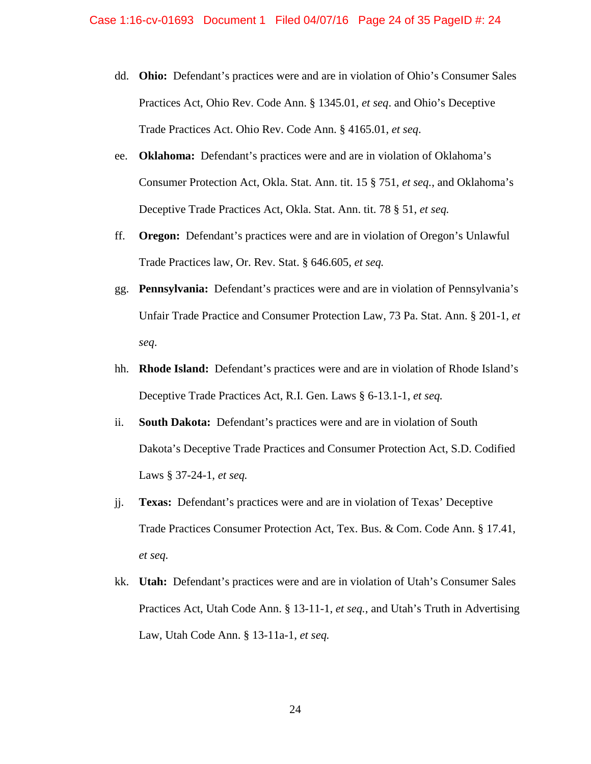- dd. **Ohio:** Defendant's practices were and are in violation of Ohio's Consumer Sales Practices Act, Ohio Rev. Code Ann. § 1345.01, *et seq*. and Ohio's Deceptive Trade Practices Act. Ohio Rev. Code Ann. § 4165.01, *et seq*.
- ee. **Oklahoma:** Defendant's practices were and are in violation of Oklahoma's Consumer Protection Act, Okla. Stat. Ann. tit. 15 § 751, *et seq.*, and Oklahoma's Deceptive Trade Practices Act, Okla. Stat. Ann. tit. 78 § 51, *et seq.*
- ff. **Oregon:** Defendant's practices were and are in violation of Oregon's Unlawful Trade Practices law, Or. Rev. Stat. § 646.605, *et seq.*
- gg. **Pennsylvania:** Defendant's practices were and are in violation of Pennsylvania's Unfair Trade Practice and Consumer Protection Law, 73 Pa. Stat. Ann. § 201-1, *et seq*.
- hh. **Rhode Island:** Defendant's practices were and are in violation of Rhode Island's Deceptive Trade Practices Act, R.I. Gen. Laws § 6-13.1-1, *et seq.*
- ii. **South Dakota:** Defendant's practices were and are in violation of South Dakota's Deceptive Trade Practices and Consumer Protection Act, S.D. Codified Laws § 37-24-1, *et seq.*
- jj. **Texas:** Defendant's practices were and are in violation of Texas' Deceptive Trade Practices Consumer Protection Act, Tex. Bus. & Com. Code Ann. § 17.41, *et seq.*
- kk. **Utah:** Defendant's practices were and are in violation of Utah's Consumer Sales Practices Act, Utah Code Ann. § 13-11-1, *et seq.*, and Utah's Truth in Advertising Law, Utah Code Ann. § 13-11a-1, *et seq.*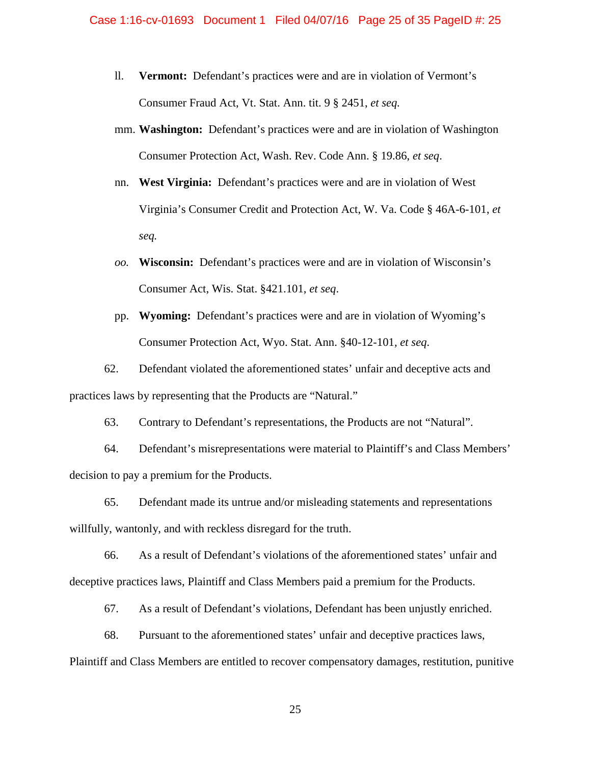- ll. **Vermont:** Defendant's practices were and are in violation of Vermont's Consumer Fraud Act, Vt. Stat. Ann. tit. 9 § 2451, *et seq.*
- mm. **Washington:** Defendant's practices were and are in violation of Washington Consumer Protection Act, Wash. Rev. Code Ann. § 19.86, *et seq*.
- nn. **West Virginia:** Defendant's practices were and are in violation of West Virginia's Consumer Credit and Protection Act, W. Va. Code § 46A-6-101, *et seq.*
- *oo.* **Wisconsin:** Defendant's practices were and are in violation of Wisconsin's Consumer Act, Wis. Stat. §421.101, *et seq*.
- pp. **Wyoming:** Defendant's practices were and are in violation of Wyoming's Consumer Protection Act, Wyo. Stat. Ann. §40-12-101*, et seq*.

62. Defendant violated the aforementioned states' unfair and deceptive acts and practices laws by representing that the Products are "Natural."

63. Contrary to Defendant's representations, the Products are not "Natural".

64. Defendant's misrepresentations were material to Plaintiff's and Class Members' decision to pay a premium for the Products.

65. Defendant made its untrue and/or misleading statements and representations willfully, wantonly, and with reckless disregard for the truth.

66. As a result of Defendant's violations of the aforementioned states' unfair and deceptive practices laws, Plaintiff and Class Members paid a premium for the Products.

67. As a result of Defendant's violations, Defendant has been unjustly enriched.

68. Pursuant to the aforementioned states' unfair and deceptive practices laws,

Plaintiff and Class Members are entitled to recover compensatory damages, restitution, punitive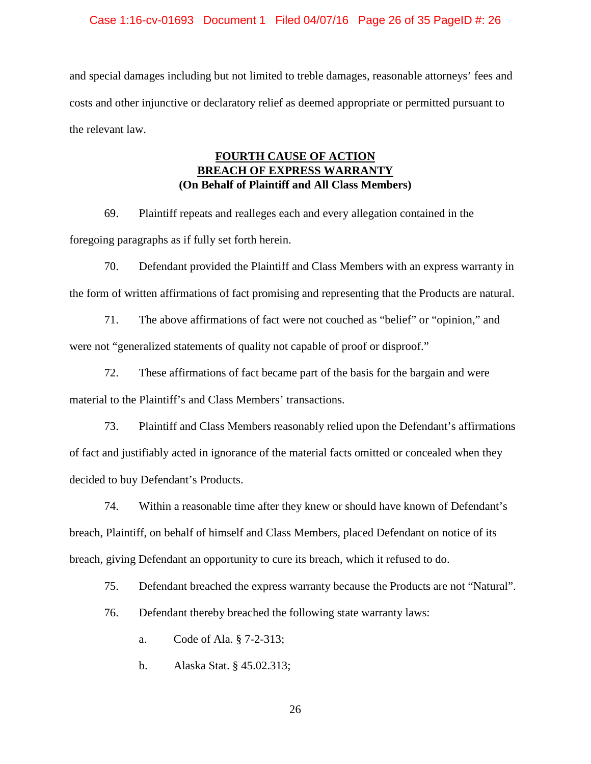### Case 1:16-cv-01693 Document 1 Filed 04/07/16 Page 26 of 35 PageID #: 26

and special damages including but not limited to treble damages, reasonable attorneys' fees and costs and other injunctive or declaratory relief as deemed appropriate or permitted pursuant to the relevant law.

## **FOURTH CAUSE OF ACTION BREACH OF EXPRESS WARRAI (On Behalf of Plaintiff and All Class Members)**

69. Plaintiff repeats and realleges each and every allegation contained in the foregoing paragraphs as if fully set forth herein.

70. Defendant provided the Plaintiff and Class Members with an express warranty in the form of written affirmations of fact promising and representing that the Products are natural.

71. The above affirmations of fact were not couched as "belief" or "opinion," and were not "generalized statements of quality not capable of proof or disproof."

72. These affirmations of fact became part of the basis for the bargain and were material to the Plaintiff's and Class Members' transactions.

73. Plaintiff and Class Members reasonably relied upon the Defendant's affirmations of fact and justifiably acted in ignorance of the material facts omitted or concealed when they decided to buy Defendant's Products.

74. Within a reasonable time after they knew or should have known of Defendant's breach, Plaintiff, on behalf of himself and Class Members, placed Defendant on notice of its breach, giving Defendant an opportunity to cure its breach, which it refused to do.

75. Defendant breached the express warranty because the Products are not "Natural".

76. Defendant thereby breached the following state warranty laws:

a. Code of Ala. § 7-2-313;

b. Alaska Stat. § 45.02.313;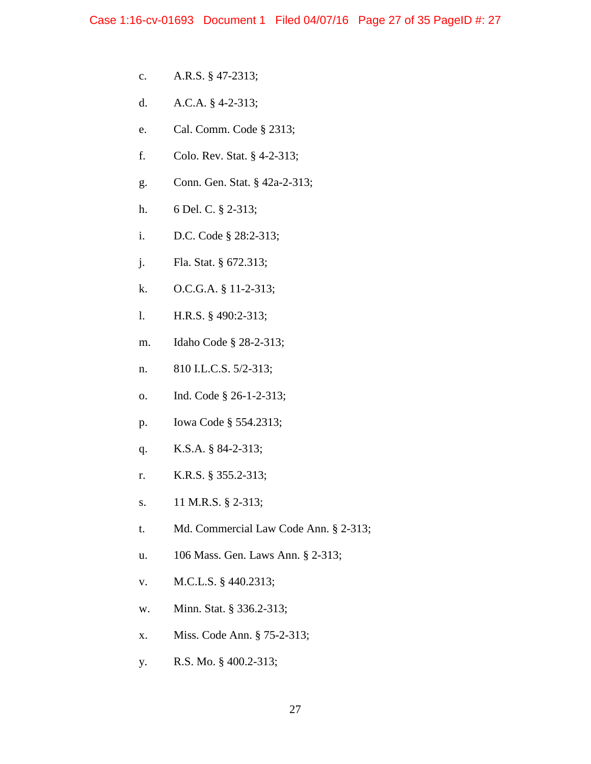- c. A.R.S. § 47-2313;
- d. A.C.A. § 4-2-313;
- e. Cal. Comm. Code § 2313;
- f. Colo. Rev. Stat. § 4-2-313;
- g. Conn. Gen. Stat. § 42a-2-313;
- h. 6 Del. C. § 2-313;
- i. D.C. Code § 28:2-313;
- j. Fla. Stat. § 672.313;
- k. O.C.G.A. § 11-2-313;
- l. H.R.S. § 490:2-313;
- m. Idaho Code § 28-2-313;
- n. 810 I.L.C.S. 5/2-313;
- o. Ind. Code § 26-1-2-313;
- p. Iowa Code § 554.2313;
- q. K.S.A. § 84-2-313;
- r. K.R.S. § 355.2-313;
- s. 11 M.R.S. § 2-313;
- t. Md. Commercial Law Code Ann. § 2-313;
- u. 106 Mass. Gen. Laws Ann. § 2-313;
- v. M.C.L.S. § 440.2313;
- w. Minn. Stat. § 336.2-313;
- x. Miss. Code Ann. § 75-2-313;
- y. R.S. Mo. § 400.2-313;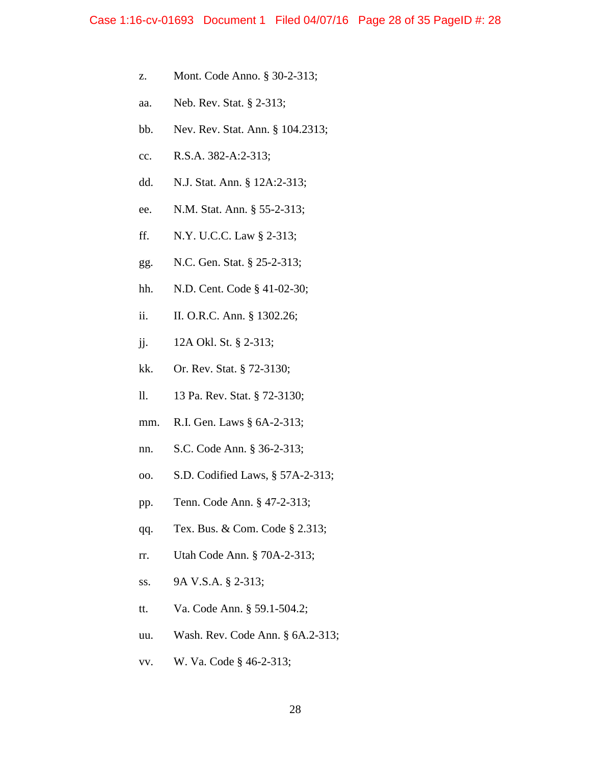- z. Mont. Code Anno. § 30-2-313;
- aa. Neb. Rev. Stat. § 2-313;
- bb. Nev. Rev. Stat. Ann. § 104.2313;
- cc. R.S.A. 382-A:2-313;
- dd. N.J. Stat. Ann. § 12A:2-313;
- ee. N.M. Stat. Ann. § 55-2-313;
- ff. N.Y. U.C.C. Law § 2-313;
- gg. N.C. Gen. Stat. § 25-2-313;
- hh. N.D. Cent. Code § 41-02-30;
- ii. II. O.R.C. Ann. § 1302.26;
- jj. 12A Okl. St. § 2-313;
- kk. Or. Rev. Stat. § 72-3130;
- ll. 13 Pa. Rev. Stat. § 72-3130;
- mm. R.I. Gen. Laws § 6A-2-313;
- nn. S.C. Code Ann. § 36-2-313;
- oo. S.D. Codified Laws, § 57A-2-313;
- pp. Tenn. Code Ann. § 47-2-313;
- qq. Tex. Bus. & Com. Code § 2.313;
- rr. Utah Code Ann. § 70A-2-313;
- ss. 9A V.S.A. § 2-313;
- tt. Va. Code Ann. § 59.1-504.2;
- uu. Wash. Rev. Code Ann. § 6A.2-313;
- vv. W. Va. Code § 46-2-313;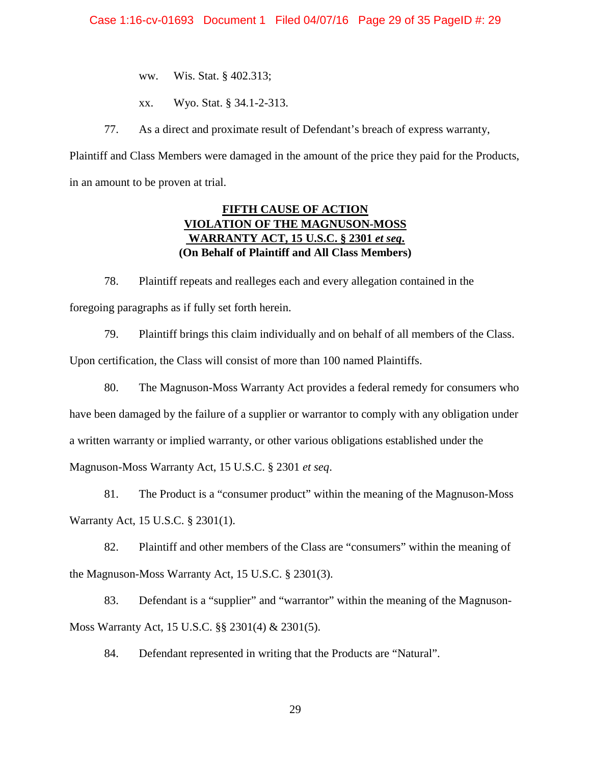ww. Wis. Stat. § 402.313;

xx. Wyo. Stat. § 34.1-2-313.

77. As a direct and proximate result of Defendant's breach of express warranty,

Plaintiff and Class Members were damaged in the amount of the price they paid for the Products, in an amount to be proven at trial.

## **FIFTH CAUSE OF ACTION VIOLATION OF THE MAGNUSON-MOSS WARRANTY ACT, 15 U.S.C. § 2301** *et seq***. (On Behalf of Plaintiff and All Class Members)**

78. Plaintiff repeats and realleges each and every allegation contained in the foregoing paragraphs as if fully set forth herein.

79. Plaintiff brings this claim individually and on behalf of all members of the Class. Upon certification, the Class will consist of more than 100 named Plaintiffs.

80. The Magnuson-Moss Warranty Act provides a federal remedy for consumers who have been damaged by the failure of a supplier or warrantor to comply with any obligation under a written warranty or implied warranty, or other various obligations established under the Magnuson-Moss Warranty Act, 15 U.S.C. § 2301 *et seq*.

81. The Product is a "consumer product" within the meaning of the Magnuson-Moss Warranty Act, 15 U.S.C. § 2301(1).

82. Plaintiff and other members of the Class are "consumers" within the meaning of the Magnuson-Moss Warranty Act, 15 U.S.C. § 2301(3).

83. Defendant is a "supplier" and "warrantor" within the meaning of the Magnuson-Moss Warranty Act, 15 U.S.C. §§ 2301(4) & 2301(5).

84. Defendant represented in writing that the Products are "Natural".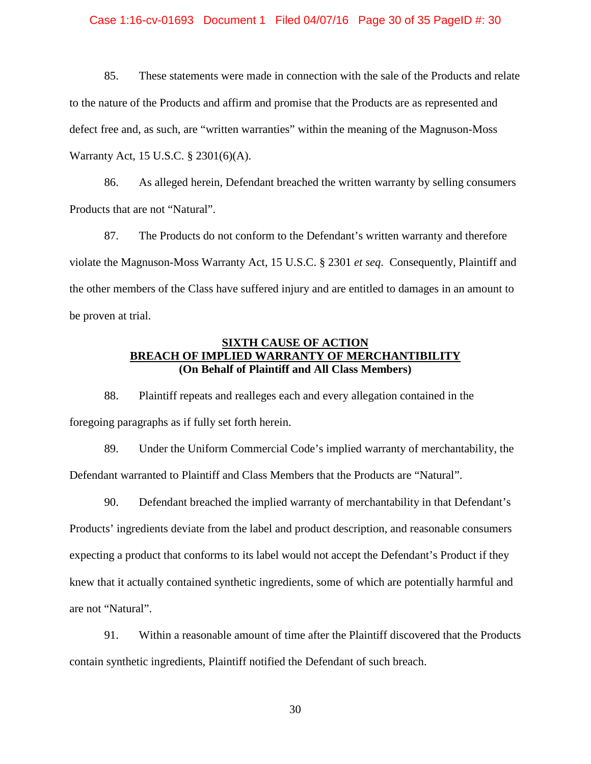### Case 1:16-cv-01693 Document 1 Filed 04/07/16 Page 30 of 35 PageID #: 30

85. These statements were made in connection with the sale of the Products and relate to the nature of the Products and affirm and promise that the Products are as represented and defect free and, as such, are "written warranties" within the meaning of the Magnuson-Moss Warranty Act, 15 U.S.C. § 2301(6)(A).

86. As alleged herein, Defendant breached the written warranty by selling consumers Products that are not "Natural".

87. The Products do not conform to the Defendant's written warranty and therefore violate the Magnuson-Moss Warranty Act, 15 U.S.C. § 2301 *et seq*. Consequently, Plaintiff and the other members of the Class have suffered injury and are entitled to damages in an amount to be proven at trial.

## **SIXTH CAUSE OF ACTION BREACH OF IMPLIED WARRANTY OF MERCHANTIBILITY (On Behalf of Plaintiff and All Class Members)**

88. Plaintiff repeats and realleges each and every allegation contained in the foregoing paragraphs as if fully set forth herein.

89. Under the Uniform Commercial Code's implied warranty of merchantability, the Defendant warranted to Plaintiff and Class Members that the Products are "Natural".

90. Defendant breached the implied warranty of merchantability in that Defendant's Products' ingredients deviate from the label and product description, and reasonable consumers expecting a product that conforms to its label would not accept the Defendant's Product if they knew that it actually contained synthetic ingredients, some of which are potentially harmful and are not "Natural".

91. Within a reasonable amount of time after the Plaintiff discovered that the Products contain synthetic ingredients, Plaintiff notified the Defendant of such breach.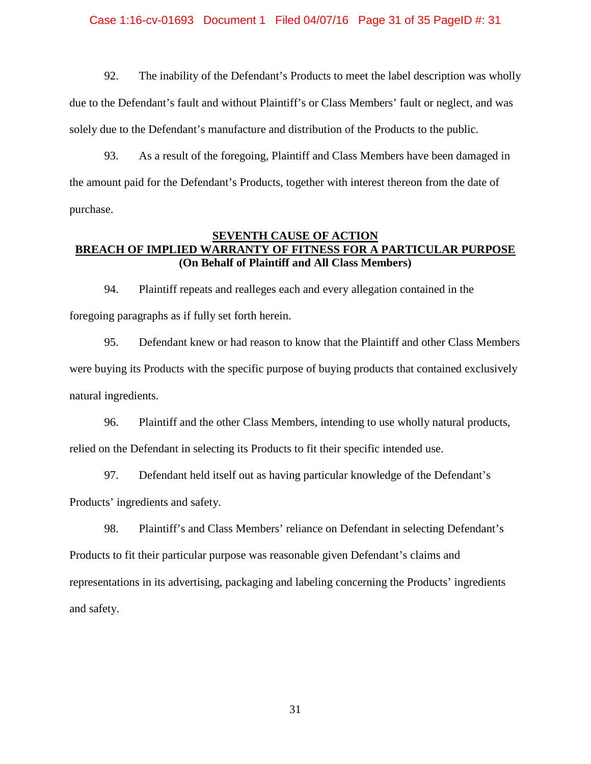### Case 1:16-cv-01693 Document 1 Filed 04/07/16 Page 31 of 35 PageID #: 31

92. The inability of the Defendant's Products to meet the label description was wholly due to the Defendant's fault and without Plaintiff's or Class Members' fault or neglect, and was solely due to the Defendant's manufacture and distribution of the Products to the public.

93. As a result of the foregoing, Plaintiff and Class Members have been damaged in the amount paid for the Defendant's Products, together with interest thereon from the date of purchase.

## **SEVENTH CAUSE OF ACTION BREACH OF IMPLIED WARRANTY OF FITNESS FOR A PARTICULAR PURPOSE (On Behalf of Plaintiff and All Class Members)**

94. Plaintiff repeats and realleges each and every allegation contained in the foregoing paragraphs as if fully set forth herein.

95. Defendant knew or had reason to know that the Plaintiff and other Class Members were buying its Products with the specific purpose of buying products that contained exclusively natural ingredients.

96. Plaintiff and the other Class Members, intending to use wholly natural products, relied on the Defendant in selecting its Products to fit their specific intended use.

97. Defendant held itself out as having particular knowledge of the Defendant's Products' ingredients and safety.

98. Plaintiff's and Class Members' reliance on Defendant in selecting Defendant's Products to fit their particular purpose was reasonable given Defendant's claims and representations in its advertising, packaging and labeling concerning the Products' ingredients and safety.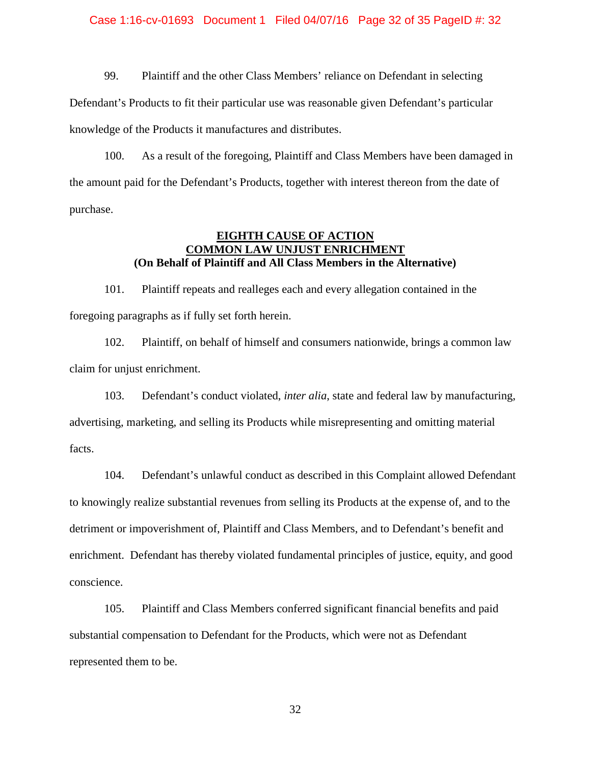### Case 1:16-cv-01693 Document 1 Filed 04/07/16 Page 32 of 35 PageID #: 32

99. Plaintiff and the other Class Members' reliance on Defendant in selecting Defendant's Products to fit their particular use was reasonable given Defendant's particular knowledge of the Products it manufactures and distributes.

100. As a result of the foregoing, Plaintiff and Class Members have been damaged in the amount paid for the Defendant's Products, together with interest thereon from the date of purchase.

## **EIGHTH CAUSE OF ACTION COMMON LAW UNJUST ENRICHMENT (On Behalf of Plaintiff and All Class Members in the Alternative)**

101. Plaintiff repeats and realleges each and every allegation contained in the foregoing paragraphs as if fully set forth herein.

102. Plaintiff, on behalf of himself and consumers nationwide, brings a common law claim for unjust enrichment.

103. Defendant's conduct violated, *inter alia*, state and federal law by manufacturing, advertising, marketing, and selling its Products while misrepresenting and omitting material facts.

104. Defendant's unlawful conduct as described in this Complaint allowed Defendant to knowingly realize substantial revenues from selling its Products at the expense of, and to the detriment or impoverishment of, Plaintiff and Class Members, and to Defendant's benefit and enrichment. Defendant has thereby violated fundamental principles of justice, equity, and good conscience.

105. Plaintiff and Class Members conferred significant financial benefits and paid substantial compensation to Defendant for the Products, which were not as Defendant represented them to be.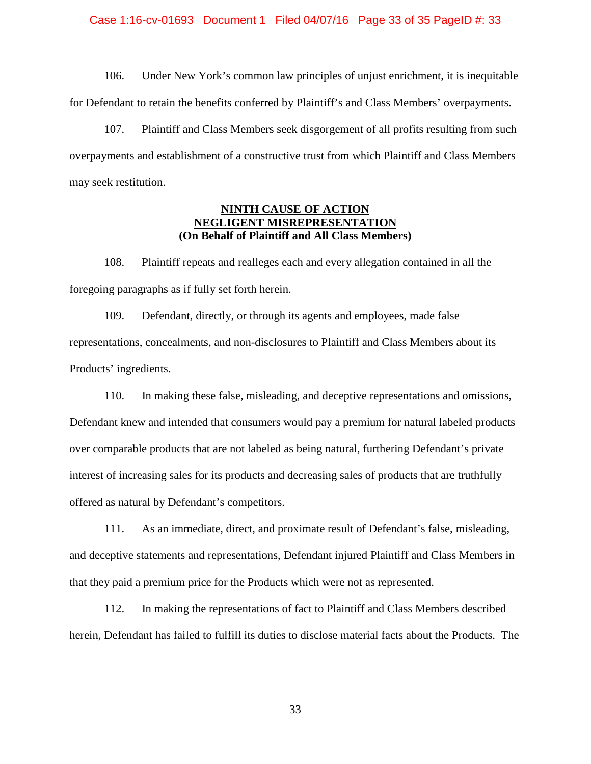### Case 1:16-cv-01693 Document 1 Filed 04/07/16 Page 33 of 35 PageID #: 33

106. Under New York's common law principles of unjust enrichment, it is inequitable for Defendant to retain the benefits conferred by Plaintiff's and Class Members' overpayments.

107. Plaintiff and Class Members seek disgorgement of all profits resulting from such overpayments and establishment of a constructive trust from which Plaintiff and Class Members may seek restitution.

## **NINTH CAUSE OF ACTION NEGLIGENT MISREPRESENTATION (On Behalf of Plaintiff and All Class Members)**

108. Plaintiff repeats and realleges each and every allegation contained in all the foregoing paragraphs as if fully set forth herein.

109. Defendant, directly, or through its agents and employees, made false representations, concealments, and non-disclosures to Plaintiff and Class Members about its Products' ingredients.

110. In making these false, misleading, and deceptive representations and omissions, Defendant knew and intended that consumers would pay a premium for natural labeled products over comparable products that are not labeled as being natural, furthering Defendant's private interest of increasing sales for its products and decreasing sales of products that are truthfully offered as natural by Defendant's competitors.

111. As an immediate, direct, and proximate result of Defendant's false, misleading, and deceptive statements and representations, Defendant injured Plaintiff and Class Members in that they paid a premium price for the Products which were not as represented.

112. In making the representations of fact to Plaintiff and Class Members described herein, Defendant has failed to fulfill its duties to disclose material facts about the Products. The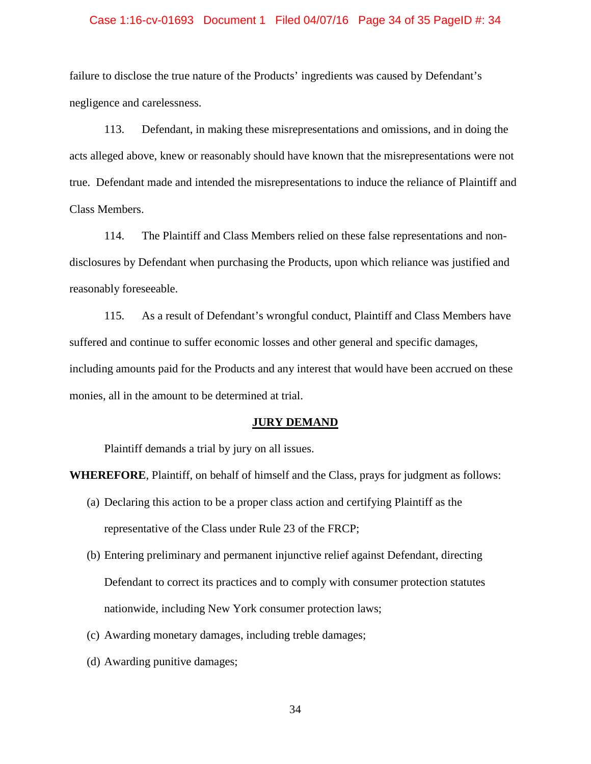### Case 1:16-cv-01693 Document 1 Filed 04/07/16 Page 34 of 35 PageID #: 34

failure to disclose the true nature of the Products' ingredients was caused by Defendant's negligence and carelessness.

113. Defendant, in making these misrepresentations and omissions, and in doing the acts alleged above, knew or reasonably should have known that the misrepresentations were not true. Defendant made and intended the misrepresentations to induce the reliance of Plaintiff and Class Members.

114. The Plaintiff and Class Members relied on these false representations and nondisclosures by Defendant when purchasing the Products, upon which reliance was justified and reasonably foreseeable.

115. As a result of Defendant's wrongful conduct, Plaintiff and Class Members have suffered and continue to suffer economic losses and other general and specific damages, including amounts paid for the Products and any interest that would have been accrued on these monies, all in the amount to be determined at trial.

### **JURY DEMAND**

Plaintiff demands a trial by jury on all issues.

**WHEREFORE**, Plaintiff, on behalf of himself and the Class, prays for judgment as follows:

- (a) Declaring this action to be a proper class action and certifying Plaintiff as the representative of the Class under Rule 23 of the FRCP;
- (b) Entering preliminary and permanent injunctive relief against Defendant, directing Defendant to correct its practices and to comply with consumer protection statutes nationwide, including New York consumer protection laws;
- (c) Awarding monetary damages, including treble damages;
- (d) Awarding punitive damages;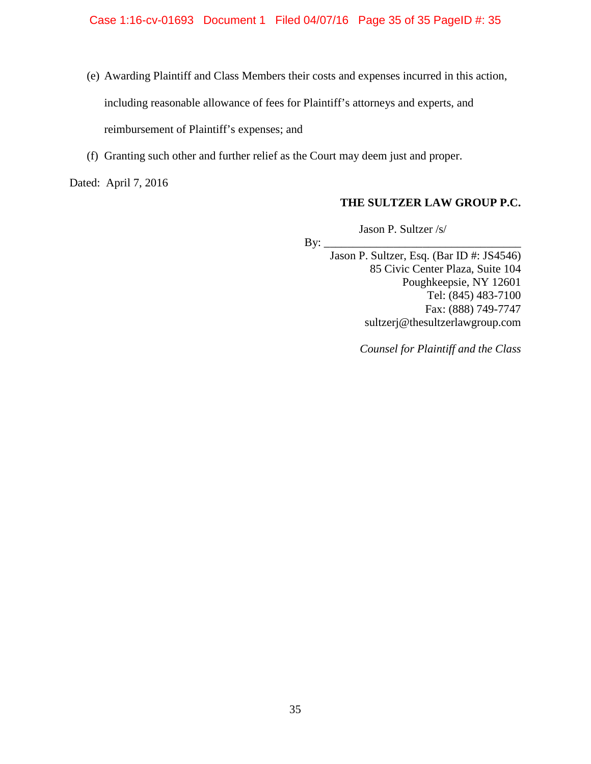- (e) Awarding Plaintiff and Class Members their costs and expenses incurred in this action, including reasonable allowance of fees for Plaintiff's attorneys and experts, and reimbursement of Plaintiff's expenses; and
- (f) Granting such other and further relief as the Court may deem just and proper.

Dated: April 7, 2016

## **THE SULTZER LAW GROUP P.C.**

Jason P. Sultzer /s/

By:  $\mathbf{Q}$ 

Jason P. Sultzer, Esq. (Bar ID #: JS4546) 85 Civic Center Plaza, Suite 104 Poughkeepsie, NY 12601 Tel: (845) 483-7100 Fax: (888) 749-7747 sultzerj@thesultzerlawgroup.com

*Counsel for Plaintiff and the Class*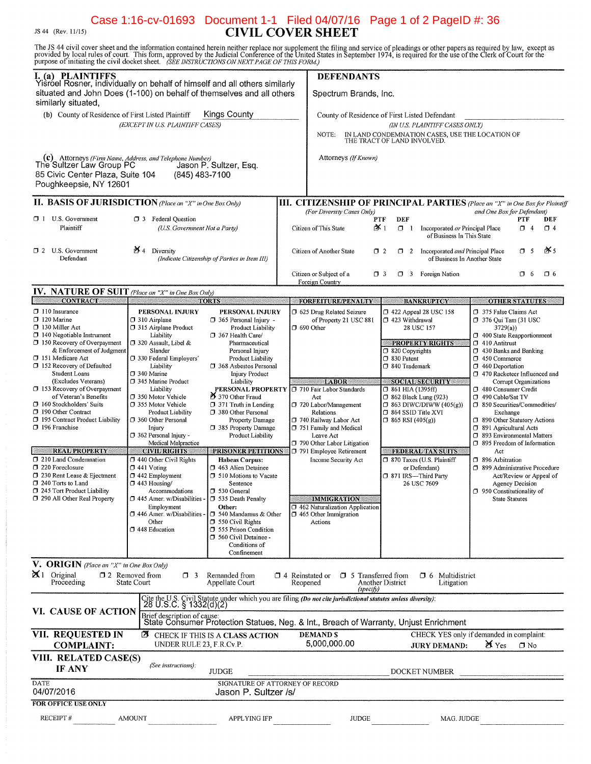## Case 1:16-cv-01693 Document 1-1 Filed 04/07/16 Page 1 of 2 PageID #: 36<br>CIVIL COVER SHEET JS 44 (Rev. 11/15)

The JS 44 civil cover sheet and the information contained herein neither replace nor supplement the filing and service of pleadings or other papers as required by law, except as provided by local rules of court. This form,

|                                                                                                                                                                                                                                                                                                                                                                                                                                                                                                                                                                                                                                                                                                        | purpose of mitiating the ervir doeser sheet. Take hististeeritoris on next PAGE of This Polini,                                                                                                                                                                                                                                                                                                                                                                                                                                                                                                                                                                                                                                                                                                                                                                                                                                                                                                                                                                                                                                                                                                                                                                                                                                              |                                                                                                                                                                                                                                                                                                                                                                                                                                                |                  |                                                                                                                              |                                                                                                                                                                                                                                                                                                                |                                                                                                                                                                                                                                                                                                                                                                                                                                                                                                                                                                                                                       |                                          |                         |
|--------------------------------------------------------------------------------------------------------------------------------------------------------------------------------------------------------------------------------------------------------------------------------------------------------------------------------------------------------------------------------------------------------------------------------------------------------------------------------------------------------------------------------------------------------------------------------------------------------------------------------------------------------------------------------------------------------|----------------------------------------------------------------------------------------------------------------------------------------------------------------------------------------------------------------------------------------------------------------------------------------------------------------------------------------------------------------------------------------------------------------------------------------------------------------------------------------------------------------------------------------------------------------------------------------------------------------------------------------------------------------------------------------------------------------------------------------------------------------------------------------------------------------------------------------------------------------------------------------------------------------------------------------------------------------------------------------------------------------------------------------------------------------------------------------------------------------------------------------------------------------------------------------------------------------------------------------------------------------------------------------------------------------------------------------------|------------------------------------------------------------------------------------------------------------------------------------------------------------------------------------------------------------------------------------------------------------------------------------------------------------------------------------------------------------------------------------------------------------------------------------------------|------------------|------------------------------------------------------------------------------------------------------------------------------|----------------------------------------------------------------------------------------------------------------------------------------------------------------------------------------------------------------------------------------------------------------------------------------------------------------|-----------------------------------------------------------------------------------------------------------------------------------------------------------------------------------------------------------------------------------------------------------------------------------------------------------------------------------------------------------------------------------------------------------------------------------------------------------------------------------------------------------------------------------------------------------------------------------------------------------------------|------------------------------------------|-------------------------|
| <b>I.</b> (a) PLAINTIFFS<br>Yisroel Rosner, individually on behalf of himself and all others similarly<br>situated and John Does (1-100) on behalf of themselves and all others<br>similarly situated,<br>(b) County of Residence of First Listed Plaintiff<br><b>Kings County</b><br>(EXCEPT IN U.S. PLAINTIFF CASES)                                                                                                                                                                                                                                                                                                                                                                                 |                                                                                                                                                                                                                                                                                                                                                                                                                                                                                                                                                                                                                                                                                                                                                                                                                                                                                                                                                                                                                                                                                                                                                                                                                                                                                                                                              | <b>DEFENDANTS</b><br>Spectrum Brands, Inc.                                                                                                                                                                                                                                                                                                                                                                                                     |                  |                                                                                                                              |                                                                                                                                                                                                                                                                                                                |                                                                                                                                                                                                                                                                                                                                                                                                                                                                                                                                                                                                                       |                                          |                         |
|                                                                                                                                                                                                                                                                                                                                                                                                                                                                                                                                                                                                                                                                                                        |                                                                                                                                                                                                                                                                                                                                                                                                                                                                                                                                                                                                                                                                                                                                                                                                                                                                                                                                                                                                                                                                                                                                                                                                                                                                                                                                              | County of Residence of First Listed Defendant<br>(IN U.S. PLAINTIFF CASES ONLY)<br>IN LAND CONDEMNATION CASES, USE THE LOCATION OF<br>NOTE:<br>THE TRACT OF LAND INVOLVED.                                                                                                                                                                                                                                                                     |                  |                                                                                                                              |                                                                                                                                                                                                                                                                                                                |                                                                                                                                                                                                                                                                                                                                                                                                                                                                                                                                                                                                                       |                                          |                         |
| (c) Attorneys (Firm Name, Address, and Telephone Number)<br>1. The Sultzer Law Group PC Jason P<br>85 Civic Center Plaza, Suite 104<br>Poughkeepsie, NY 12601                                                                                                                                                                                                                                                                                                                                                                                                                                                                                                                                          | Jason P. Sultzer, Esq.<br>(845) 483-7100                                                                                                                                                                                                                                                                                                                                                                                                                                                                                                                                                                                                                                                                                                                                                                                                                                                                                                                                                                                                                                                                                                                                                                                                                                                                                                     | Attorneys (If Known)                                                                                                                                                                                                                                                                                                                                                                                                                           |                  |                                                                                                                              |                                                                                                                                                                                                                                                                                                                |                                                                                                                                                                                                                                                                                                                                                                                                                                                                                                                                                                                                                       |                                          |                         |
|                                                                                                                                                                                                                                                                                                                                                                                                                                                                                                                                                                                                                                                                                                        | <b>II. BASIS OF JURISDICTION</b> (Place an "X" in One Box Only)                                                                                                                                                                                                                                                                                                                                                                                                                                                                                                                                                                                                                                                                                                                                                                                                                                                                                                                                                                                                                                                                                                                                                                                                                                                                              | <b>III. CITIZENSHIP OF PRINCIPAL PARTIES</b> (Place an "X" in One Box for Plaintiff                                                                                                                                                                                                                                                                                                                                                            |                  |                                                                                                                              |                                                                                                                                                                                                                                                                                                                |                                                                                                                                                                                                                                                                                                                                                                                                                                                                                                                                                                                                                       |                                          |                         |
| $\Box$ 1 U.S. Government<br>Plaintiff                                                                                                                                                                                                                                                                                                                                                                                                                                                                                                                                                                                                                                                                  | <b>C</b> 3 Federal Question<br>(U.S. Government Not a Party)                                                                                                                                                                                                                                                                                                                                                                                                                                                                                                                                                                                                                                                                                                                                                                                                                                                                                                                                                                                                                                                                                                                                                                                                                                                                                 | (For Diversity Cases Only)<br>Citizen of This State                                                                                                                                                                                                                                                                                                                                                                                            | PTF<br>≵ ৷       | <b>DEF</b><br>$\sigma$ 1                                                                                                     | Incorporated or Principal Place<br>of Business In This State                                                                                                                                                                                                                                                   | and One Box for Defendant)                                                                                                                                                                                                                                                                                                                                                                                                                                                                                                                                                                                            | <b>PTF</b><br>$\Box$ 4                   | DEF<br>$\Box$ 4         |
| $\Box$ 2 U.S. Government<br>Defendant                                                                                                                                                                                                                                                                                                                                                                                                                                                                                                                                                                                                                                                                  | $\mathbf{M}$ 4<br>Diversity<br>(Indicate Citizenship of Parties in Item III)                                                                                                                                                                                                                                                                                                                                                                                                                                                                                                                                                                                                                                                                                                                                                                                                                                                                                                                                                                                                                                                                                                                                                                                                                                                                 | Citizen of Another State                                                                                                                                                                                                                                                                                                                                                                                                                       | $\Box$ 2         | $\Box$ 2                                                                                                                     | Incorporated and Principal Place<br>of Business In Another State                                                                                                                                                                                                                                               |                                                                                                                                                                                                                                                                                                                                                                                                                                                                                                                                                                                                                       | $\Box$ 5                                 | òXs                     |
|                                                                                                                                                                                                                                                                                                                                                                                                                                                                                                                                                                                                                                                                                                        |                                                                                                                                                                                                                                                                                                                                                                                                                                                                                                                                                                                                                                                                                                                                                                                                                                                                                                                                                                                                                                                                                                                                                                                                                                                                                                                                              | Citizen or Subject of a<br>Foreign Country                                                                                                                                                                                                                                                                                                                                                                                                     | O 3              | O 3                                                                                                                          | Foreign Nation                                                                                                                                                                                                                                                                                                 |                                                                                                                                                                                                                                                                                                                                                                                                                                                                                                                                                                                                                       | $\Box$ 6                                 | $\square$ 6             |
| <b>IV. NATURE OF SUIT</b> (Place an "X" in One Box Only)                                                                                                                                                                                                                                                                                                                                                                                                                                                                                                                                                                                                                                               |                                                                                                                                                                                                                                                                                                                                                                                                                                                                                                                                                                                                                                                                                                                                                                                                                                                                                                                                                                                                                                                                                                                                                                                                                                                                                                                                              |                                                                                                                                                                                                                                                                                                                                                                                                                                                |                  |                                                                                                                              |                                                                                                                                                                                                                                                                                                                |                                                                                                                                                                                                                                                                                                                                                                                                                                                                                                                                                                                                                       |                                          |                         |
| <b>CONTRACT</b><br>$\Box$ 110 Insurance<br>120 Marine<br>130 Miller Act<br>$\Box$ 140 Negotiable Instrument<br>150 Recovery of Overpayment<br>& Enforcement of Judgment<br>151 Medicare Act<br>$\Box$ 152 Recovery of Defaulted<br>Student Loans<br>(Excludes Veterans)<br><b>3</b> 153 Recovery of Overpayment<br>of Veteran's Benefits<br>160 Stockholders' Suits<br>190 Other Contract<br>195 Contract Product Liability<br>$\Box$ 196 Franchise<br><b>REAL PROPERTY</b><br>1 210 Land Condemnation<br>7 220 Foreclosure<br>1 230 Rent Lease & Ejectment<br>1 240 Torts to Land<br>1 245 Tort Product Liability<br>7 290 All Other Real Property<br><b>V. ORIGIN</b> (Place an "X" in One Box Only) | <b>TORTS</b><br>PERSONAL INJURY<br>PERSONAL INJURY<br>7 310 Airplane<br>365 Personal Injury -<br>315 Airplane Product<br>Product Liability<br>□ 367 Health Care/<br>Liability<br>320 Assault, Libel &<br>Pharmaceutical<br>Slander<br>Personal Injury<br>330 Federal Employers'<br>Product Liability<br>Liability<br>1 368 Asbestos Personal<br>D 340 Marine<br><b>Injury Product</b><br>345 Marine Product<br>Liability<br>Liability<br>PERSONAL PROPERTY<br>370 Other Fraud<br>1 350 Motor Vehicle<br>1 355 Motor Vehicle<br>$\Box$ 371 Truth in Lending<br>Product Liability<br>□ 380 Other Personal<br>□ 360 Other Personal<br>Property Damage<br>385 Property Damage<br>Injury<br>362 Personal Injury -<br>Product Liability<br>Medical Malpractice<br><b>CIVIL RIGHTS</b><br>PRISONER PETITIONS<br>440 Other Civil Rights<br><b>Habeas Corpus:</b><br>$\Box$ 441 Voting<br>463 Alien Detainee<br>$\square$ 442 Employment<br><b>J</b> 510 Motions to Vacate<br>$\Box$ 443 Housing/<br>Sentence<br>Accommodations<br><b>J</b> 530 General<br>$\Box$ 445 Amer. w/Disabilities - $\Box$ 535 Death Penalty<br>Employment<br>Other:<br>□ 540 Mandamus & Other<br>446 Amer. w/Disabilities -<br>$\Box$ 550 Civil Rights<br>Other<br><b>J</b> 555 Prison Condition<br>D 448 Education<br>560 Civil Detainee -<br>Conditions of<br>Confinement | <b>FORFEITURE/PENALTY</b><br>1 625 Drug Related Seizure<br>of Property 21 USC 881<br>$7690$ Other<br><b>LABOR</b><br>710 Fair Labor Standards<br>Act<br>720 Labor/Management<br>Relations<br>740 Railway Labor Act<br>751 Family and Medical<br>Leave Act<br>790 Other Labor Litigation<br>791 Employee Retirement<br>Income Security Act<br><b>IMMIGRATION</b><br>7 462 Naturalization Application<br>$\Box$ 465 Other Immigration<br>Actions |                  | 1 423 Withdrawal<br>$\Box$ 820 Copyrights<br>$7830$ Patent<br>340 Trademark<br>□ 861 HIA (1395ff)<br>$\Box$ 865 RSI (405(g)) | <b>BANKRUPTCY</b><br>1422 Appeal 28 USC 158<br>28 USC 157<br><b>PROPERTY RIGHTS</b><br><b>SOCIAL SECURITY</b><br>$\Box$ 862 Black Lung (923)<br>$\Box$ 863 DIWC/DIWW (405(g))<br>364 SSID Title XVI<br>FEDERAL TAX SUITS<br>370 Taxes (U.S. Plaintiff<br>or Defendant)<br>7 871 IRS-Third Party<br>26 USC 7609 | <b>OTHER STATUTES</b><br>375 False Claims Act<br>7 376 Oui Tam (31 USC)<br>3729(a)<br>400 State Reapportionment<br>$\Box$ 410 Antitrust<br>$\Box$ 430 Banks and Banking<br>$\square$ 450 Commerce<br>460 Deportation<br>7 470 Racketeer Influenced and<br>1 480 Consumer Credit<br>1 490 Cable/Sat TV<br>1 850 Securities/Commodities/<br>Exchange<br>1 890 Other Statutory Actions<br>7 891 Agricultural Acts<br>7 893 Environmental Matters<br><b>395</b> Freedom of Information<br>Act<br><b>J</b> 896 Arbitration<br>7 899 Administrative Procedure<br><b>3</b> 950 Constitutionality of<br><b>State Statutes</b> | Corrupt Organizations<br>Agency Decision | Act/Review or Appeal of |
| $\mathsf{X}$ 1 Original<br>Proceeding                                                                                                                                                                                                                                                                                                                                                                                                                                                                                                                                                                                                                                                                  | $\Box$ 2 Removed from<br>$\Box$ 3<br>Remanded from<br>State Court<br>Appellate Court                                                                                                                                                                                                                                                                                                                                                                                                                                                                                                                                                                                                                                                                                                                                                                                                                                                                                                                                                                                                                                                                                                                                                                                                                                                         | $\Box$ 4 Reinstated or<br>$\Box$ 5 Transferred from<br>Reopened<br>(specify)                                                                                                                                                                                                                                                                                                                                                                   | Another District |                                                                                                                              | <b>0</b> 6 Multidistrict<br>Litigation                                                                                                                                                                                                                                                                         |                                                                                                                                                                                                                                                                                                                                                                                                                                                                                                                                                                                                                       |                                          |                         |
| <b>VI. CAUSE OF ACTION</b>                                                                                                                                                                                                                                                                                                                                                                                                                                                                                                                                                                                                                                                                             | Cite the U.S. Civil Statute under which you are filing (Do not cite jurisdictional statutes unless diversity):<br>28 U.S.C. § 1332(d)(2)<br>Brief description of cause:<br>State Consumer Protection Statues, Neg. & Int., Breach of Warranty, Unjust Enrichment                                                                                                                                                                                                                                                                                                                                                                                                                                                                                                                                                                                                                                                                                                                                                                                                                                                                                                                                                                                                                                                                             |                                                                                                                                                                                                                                                                                                                                                                                                                                                |                  |                                                                                                                              |                                                                                                                                                                                                                                                                                                                |                                                                                                                                                                                                                                                                                                                                                                                                                                                                                                                                                                                                                       |                                          |                         |
| VII. REQUESTED IN<br><b>COMPLAINT:</b>                                                                                                                                                                                                                                                                                                                                                                                                                                                                                                                                                                                                                                                                 | Ø<br>CHECK IF THIS IS A CLASS ACTION<br>UNDER RULE 23, F.R.Cv.P.                                                                                                                                                                                                                                                                                                                                                                                                                                                                                                                                                                                                                                                                                                                                                                                                                                                                                                                                                                                                                                                                                                                                                                                                                                                                             | <b>DEMANDS</b><br>5,000,000.00                                                                                                                                                                                                                                                                                                                                                                                                                 |                  |                                                                                                                              | CHECK YES only if demanded in complaint:<br><b>JURY DEMAND:</b>                                                                                                                                                                                                                                                | $\chi$ Yes                                                                                                                                                                                                                                                                                                                                                                                                                                                                                                                                                                                                            | $\Box$ No                                |                         |
| VIII. RELATED CASE(S)<br>IF ANY                                                                                                                                                                                                                                                                                                                                                                                                                                                                                                                                                                                                                                                                        | (See instructions):<br><b>JUDGE</b>                                                                                                                                                                                                                                                                                                                                                                                                                                                                                                                                                                                                                                                                                                                                                                                                                                                                                                                                                                                                                                                                                                                                                                                                                                                                                                          |                                                                                                                                                                                                                                                                                                                                                                                                                                                |                  |                                                                                                                              | DOCKET NUMBER                                                                                                                                                                                                                                                                                                  |                                                                                                                                                                                                                                                                                                                                                                                                                                                                                                                                                                                                                       |                                          |                         |
| DATE<br>04/07/2016                                                                                                                                                                                                                                                                                                                                                                                                                                                                                                                                                                                                                                                                                     | SIGNATURE OF ATTORNEY OF RECORD<br>Jason P. Sultzer /s/                                                                                                                                                                                                                                                                                                                                                                                                                                                                                                                                                                                                                                                                                                                                                                                                                                                                                                                                                                                                                                                                                                                                                                                                                                                                                      |                                                                                                                                                                                                                                                                                                                                                                                                                                                |                  |                                                                                                                              |                                                                                                                                                                                                                                                                                                                |                                                                                                                                                                                                                                                                                                                                                                                                                                                                                                                                                                                                                       |                                          |                         |
| <b>FOR OFFICE USE ONLY</b><br>RECEIPT#                                                                                                                                                                                                                                                                                                                                                                                                                                                                                                                                                                                                                                                                 | <b>AMOUNT</b><br><b>APPLYING IFP</b>                                                                                                                                                                                                                                                                                                                                                                                                                                                                                                                                                                                                                                                                                                                                                                                                                                                                                                                                                                                                                                                                                                                                                                                                                                                                                                         | <b>JUDGE</b>                                                                                                                                                                                                                                                                                                                                                                                                                                   |                  |                                                                                                                              | MAG. JUDGE                                                                                                                                                                                                                                                                                                     |                                                                                                                                                                                                                                                                                                                                                                                                                                                                                                                                                                                                                       |                                          |                         |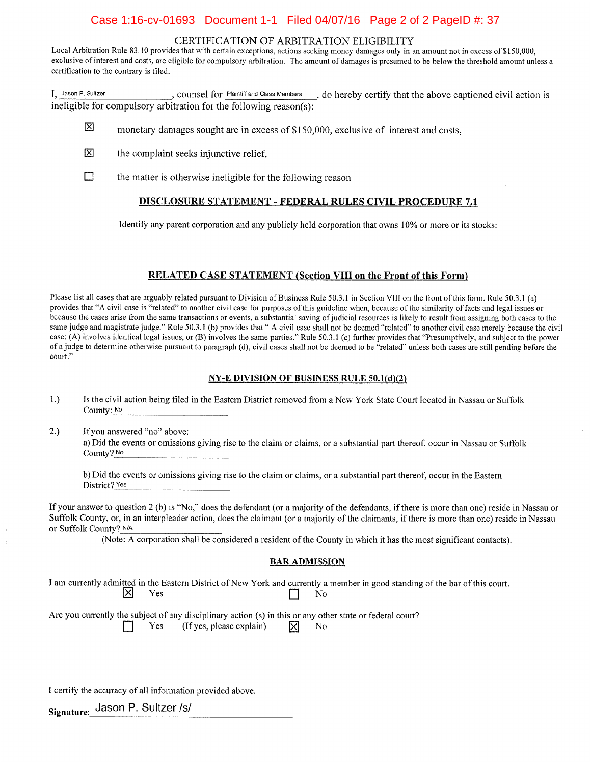## Case 1:16-cv-01693 Document 1-1 Filed 04/07/16 Page 2 of 2 PageID #: 37

### CERTIFICATION OF ARBITRATION ELIGIBILITY

Local Arbitration Rule 83.10 provides that with certain exceptions, actions seeking money damages only in an amount not in excess of \$150,000, exclusive of interest and costs, are eligible for compulsory arbitration. The amount of damages is presumed to be below the threshold amount unless a certification to the contrary is filed.

I. Jason P. Sultzer \_, counsel for Plaintiff and Class Members \_\_\_, do hereby certify that the above captioned civil action is ineligible for compulsory arbitration for the following reason(s):

- 区 monetary damages sought are in excess of \$150,000, exclusive of interest and costs,
- 冈 the complaint seeks injunctive relief,
- $\Box$ the matter is otherwise ineligible for the following reason

### **DISCLOSURE STATEMENT - FEDERAL RULES CIVIL PROCEDURE 7.1**

Identify any parent corporation and any publicly held corporation that owns 10% or more or its stocks:

### **RELATED CASE STATEMENT (Section VIII on the Front of this Form)**

Please list all cases that are arguably related pursuant to Division of Business Rule 50.3.1 in Section VIII on the front of this form. Rule 50.3.1 (a) provides that "A civil case is "related" to another civil case for purposes of this guideline when, because of the similarity of facts and legal issues or because the cases arise from the same transactions or events, a substantial saving of judicial resources is likely to result from assigning both cases to the same judge and magistrate judge." Rule 50.3.1 (b) provides that " A civil case shall not be deemed "related" to another civil case merely because the civil case: (A) involves identical legal issues, or (B) involves the same parties." Rule 50.3.1 (c) further provides that "Presumptively, and subject to the power of a judge to determine otherwise pursuant to paragraph (d), civil cases shall not be deemed to be "related" unless both cases are still pending before the court."

#### **NY-E DIVISION OF BUSINESS RULE**  $50.1(d)(2)$

- $1.)$ Is the civil action being filed in the Eastern District removed from a New York State Court located in Nassau or Suffolk County: No
- $2.)$ If you answered "no" above: a) Did the events or omissions giving rise to the claim or claims, or a substantial part thereof, occur in Nassau or Suffolk County? No

b) Did the events or omissions giving rise to the claim or claims, or a substantial part thereof, occur in the Eastern District? Yes

If your answer to question 2 (b) is "No," does the defendant (or a majority of the defendants, if there is more than one) reside in Nassau or Suffolk County, or, in an interpleader action, does the claimant (or a majority of the claimants, if there is more than one) reside in Nassau or Suffolk County? N/A

(Note: A corporation shall be considered a resident of the County in which it has the most significant contacts).

#### **BAR ADMISSION**

I am currently admitted in the Eastern District of New York and currently a member in good standing of the bar of this court. ᢂ Yes No

Are you currently the subject of any disciplinary action (s) in this or any other state or federal court? Yes

(If yes, please explain)

⊠ No

I certify the accuracy of all information provided above.

Signature: Jason P. Sultzer /s/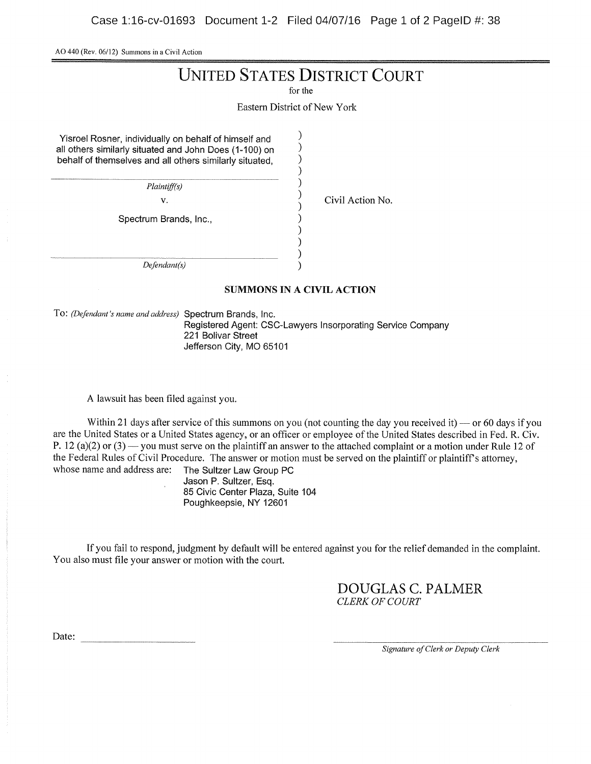AO <sup>440</sup> (Rev. 06/12) Summons in <sup>a</sup> Civil Action

# UNITED STATES DISTRICT COURT

for the

Eastern District of New York

 $\mathcal{E}$  $\lambda$  $\lambda$  $\mathcal{E}$ 

 $\mathcal{E}$ 

⟩

Yisroel Rosner, individually on behalf of himself and all others similarly situated and John Does (1-100) on behalf of themselves and all others similarly situated,

Plaintiff(s)

v.  $\overline{v}$  Civil Action No.

Spectrum Brands, Inc.,

Defendant(s)

### SUMMONS IN A CIVIL ACTION

To: (Defendant's name and address) Spectrum Brands, Inc. Registered Agent: CSC-Lawyers Insorporating Service Company 221 Bolivar Street Jefferson City, MO 65101

A lawsuit has been filed against you.

Within 21 days after service of this summons on you (not counting the day you received it) — or 60 days if you are the United States or <sup>a</sup> United States agency, or an officer or employee of the United States described in Fed. R. Civ. P. 12 (a)(2) or (3) — you must serve on the plaintiff an answer to the attached complaint or a motion under Rule 12 of the Federal Rules of Civil Procedure. The answer or motion must be served on the plaintiff or plaintiff's attorney, whose name and address are: The Sultzer Law Group PC The Sultzer Law Group PC

Jason P. Sultzer, Esq. 85 Civic Center Plaza, Suite 104 Poughkeepsie, NY 12601

If you fail to respond, judgment by default will be entered against you for the relief demanded in the complaint. You also must file your answer or motion with the court.

> DOUGLAS C. PALMER CLERK OF COURT

Date:

Signature of Clerk or Deputy Clerk